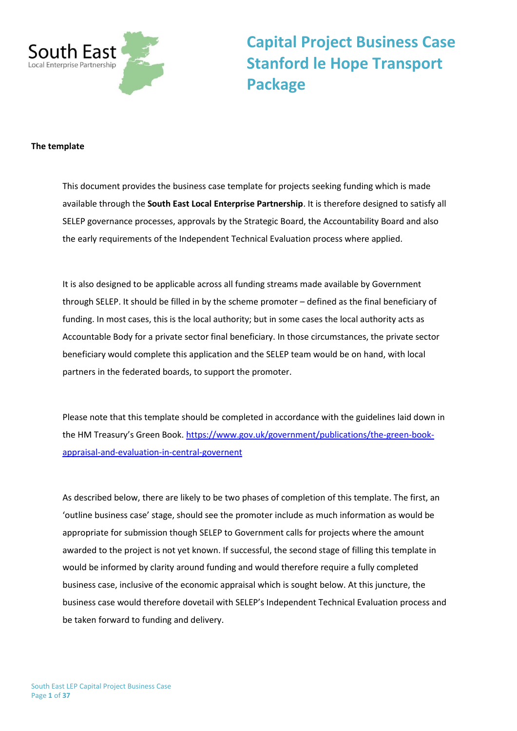

**Capital Project Business Case Stanford le Hope Transport Package**

### **The template**

This document provides the business case template for projects seeking funding which is made available through the **South East Local Enterprise Partnership**. It is therefore designed to satisfy all SELEP governance processes, approvals by the Strategic Board, the Accountability Board and also the early requirements of the Independent Technical Evaluation process where applied.

It is also designed to be applicable across all funding streams made available by Government through SELEP. It should be filled in by the scheme promoter – defined as the final beneficiary of funding. In most cases, this is the local authority; but in some cases the local authority acts as Accountable Body for a private sector final beneficiary. In those circumstances, the private sector beneficiary would complete this application and the SELEP team would be on hand, with local partners in the federated boards, to support the promoter.

Please note that this template should be completed in accordance with the guidelines laid down in the HM Treasury's Green Book. [https://www.gov.uk/government/publications/the-green-book](https://www.gov.uk/government/publications/the-green-book-appraisal-and-evaluation-in-central-governent)[appraisal-and-evaluation-in-central-governent](https://www.gov.uk/government/publications/the-green-book-appraisal-and-evaluation-in-central-governent)

As described below, there are likely to be two phases of completion of this template. The first, an 'outline business case' stage, should see the promoter include as much information as would be appropriate for submission though SELEP to Government calls for projects where the amount awarded to the project is not yet known. If successful, the second stage of filling this template in would be informed by clarity around funding and would therefore require a fully completed business case, inclusive of the economic appraisal which is sought below. At this juncture, the business case would therefore dovetail with SELEP's Independent Technical Evaluation process and be taken forward to funding and delivery.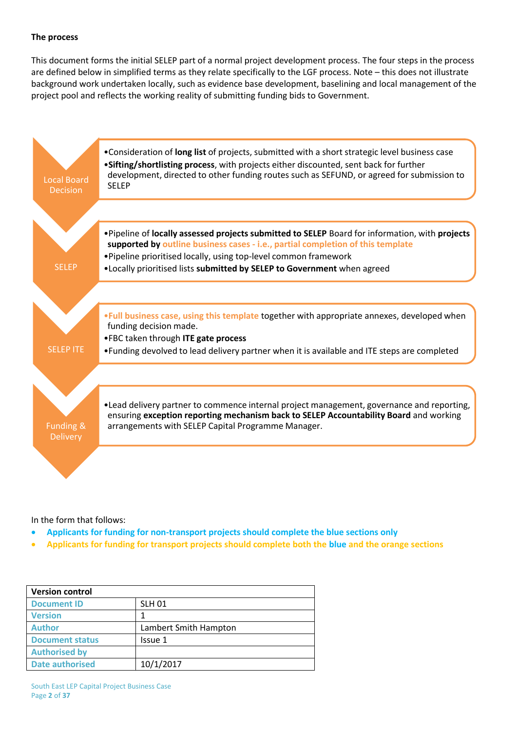## **The process**

This document forms the initial SELEP part of a normal project development process. The four steps in the process are defined below in simplified terms as they relate specifically to the LGF process. Note – this does not illustrate background work undertaken locally, such as evidence base development, baselining and local management of the project pool and reflects the working reality of submitting funding bids to Government.



In the form that follows:

- **Applicants for funding for non-transport projects should complete the blue sections only**
- **Applicants for funding for transport projects should complete both the blue and the orange sections**

| <b>Version control</b> |                       |  |  |  |
|------------------------|-----------------------|--|--|--|
| <b>Document ID</b>     | <b>SLH 01</b>         |  |  |  |
| <b>Version</b>         |                       |  |  |  |
| <b>Author</b>          | Lambert Smith Hampton |  |  |  |
| <b>Document status</b> | Issue 1               |  |  |  |
| <b>Authorised by</b>   |                       |  |  |  |
| <b>Date authorised</b> | 10/1/2017             |  |  |  |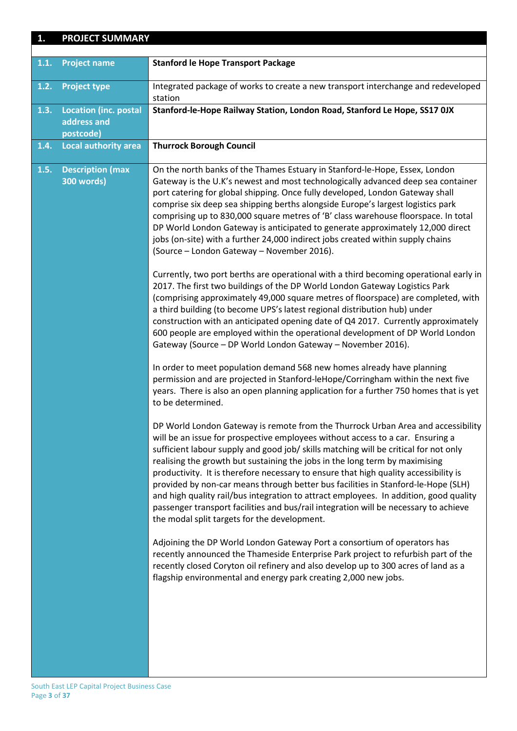| 1.   | <b>PROJECT SUMMARY</b>                                   |                                                                                                                                                                                                                                                                                                                                                                                                                                                                                                                                                                                                                                                                                                                                                                                                                                                                                                                                                                                                                                                                                                                                                                                                                                                                                                                                                                                                                                                                                                                                                                                                                                                                                                                                                                                                                                                                                                                                                                                                                                                                                                                                                                                                                                                                                                                                                                                                                                                                                                                          |
|------|----------------------------------------------------------|--------------------------------------------------------------------------------------------------------------------------------------------------------------------------------------------------------------------------------------------------------------------------------------------------------------------------------------------------------------------------------------------------------------------------------------------------------------------------------------------------------------------------------------------------------------------------------------------------------------------------------------------------------------------------------------------------------------------------------------------------------------------------------------------------------------------------------------------------------------------------------------------------------------------------------------------------------------------------------------------------------------------------------------------------------------------------------------------------------------------------------------------------------------------------------------------------------------------------------------------------------------------------------------------------------------------------------------------------------------------------------------------------------------------------------------------------------------------------------------------------------------------------------------------------------------------------------------------------------------------------------------------------------------------------------------------------------------------------------------------------------------------------------------------------------------------------------------------------------------------------------------------------------------------------------------------------------------------------------------------------------------------------------------------------------------------------------------------------------------------------------------------------------------------------------------------------------------------------------------------------------------------------------------------------------------------------------------------------------------------------------------------------------------------------------------------------------------------------------------------------------------------------|
|      |                                                          |                                                                                                                                                                                                                                                                                                                                                                                                                                                                                                                                                                                                                                                                                                                                                                                                                                                                                                                                                                                                                                                                                                                                                                                                                                                                                                                                                                                                                                                                                                                                                                                                                                                                                                                                                                                                                                                                                                                                                                                                                                                                                                                                                                                                                                                                                                                                                                                                                                                                                                                          |
| 1.1. | <b>Project name</b>                                      | <b>Stanford le Hope Transport Package</b>                                                                                                                                                                                                                                                                                                                                                                                                                                                                                                                                                                                                                                                                                                                                                                                                                                                                                                                                                                                                                                                                                                                                                                                                                                                                                                                                                                                                                                                                                                                                                                                                                                                                                                                                                                                                                                                                                                                                                                                                                                                                                                                                                                                                                                                                                                                                                                                                                                                                                |
| 1.2. | <b>Project type</b>                                      | Integrated package of works to create a new transport interchange and redeveloped<br>station                                                                                                                                                                                                                                                                                                                                                                                                                                                                                                                                                                                                                                                                                                                                                                                                                                                                                                                                                                                                                                                                                                                                                                                                                                                                                                                                                                                                                                                                                                                                                                                                                                                                                                                                                                                                                                                                                                                                                                                                                                                                                                                                                                                                                                                                                                                                                                                                                             |
| 1.3. | <b>Location (inc. postal</b><br>address and<br>postcode) | Stanford-le-Hope Railway Station, London Road, Stanford Le Hope, SS17 0JX                                                                                                                                                                                                                                                                                                                                                                                                                                                                                                                                                                                                                                                                                                                                                                                                                                                                                                                                                                                                                                                                                                                                                                                                                                                                                                                                                                                                                                                                                                                                                                                                                                                                                                                                                                                                                                                                                                                                                                                                                                                                                                                                                                                                                                                                                                                                                                                                                                                |
| 1.4. | Local authority area                                     | <b>Thurrock Borough Council</b>                                                                                                                                                                                                                                                                                                                                                                                                                                                                                                                                                                                                                                                                                                                                                                                                                                                                                                                                                                                                                                                                                                                                                                                                                                                                                                                                                                                                                                                                                                                                                                                                                                                                                                                                                                                                                                                                                                                                                                                                                                                                                                                                                                                                                                                                                                                                                                                                                                                                                          |
| 1.5. | <b>Description (max</b><br><b>300 words)</b>             | On the north banks of the Thames Estuary in Stanford-le-Hope, Essex, London<br>Gateway is the U.K's newest and most technologically advanced deep sea container<br>port catering for global shipping. Once fully developed, London Gateway shall<br>comprise six deep sea shipping berths alongside Europe's largest logistics park<br>comprising up to 830,000 square metres of 'B' class warehouse floorspace. In total<br>DP World London Gateway is anticipated to generate approximately 12,000 direct<br>jobs (on-site) with a further 24,000 indirect jobs created within supply chains<br>(Source - London Gateway - November 2016).<br>Currently, two port berths are operational with a third becoming operational early in<br>2017. The first two buildings of the DP World London Gateway Logistics Park<br>(comprising approximately 49,000 square metres of floorspace) are completed, with<br>a third building (to become UPS's latest regional distribution hub) under<br>construction with an anticipated opening date of Q4 2017. Currently approximately<br>600 people are employed within the operational development of DP World London<br>Gateway (Source - DP World London Gateway - November 2016).<br>In order to meet population demand 568 new homes already have planning<br>permission and are projected in Stanford-leHope/Corringham within the next five<br>years. There is also an open planning application for a further 750 homes that is yet<br>to be determined.<br>DP World London Gateway is remote from the Thurrock Urban Area and accessibility<br>will be an issue for prospective employees without access to a car. Ensuring a<br>sufficient labour supply and good job/ skills matching will be critical for not only<br>realising the growth but sustaining the jobs in the long term by maximising<br>productivity. It is therefore necessary to ensure that high quality accessibility is<br>provided by non-car means through better bus facilities in Stanford-le-Hope (SLH)<br>and high quality rail/bus integration to attract employees. In addition, good quality<br>passenger transport facilities and bus/rail integration will be necessary to achieve<br>the modal split targets for the development.<br>Adjoining the DP World London Gateway Port a consortium of operators has<br>recently announced the Thameside Enterprise Park project to refurbish part of the<br>recently closed Coryton oil refinery and also develop up to 300 acres of land as a |
|      |                                                          | flagship environmental and energy park creating 2,000 new jobs.                                                                                                                                                                                                                                                                                                                                                                                                                                                                                                                                                                                                                                                                                                                                                                                                                                                                                                                                                                                                                                                                                                                                                                                                                                                                                                                                                                                                                                                                                                                                                                                                                                                                                                                                                                                                                                                                                                                                                                                                                                                                                                                                                                                                                                                                                                                                                                                                                                                          |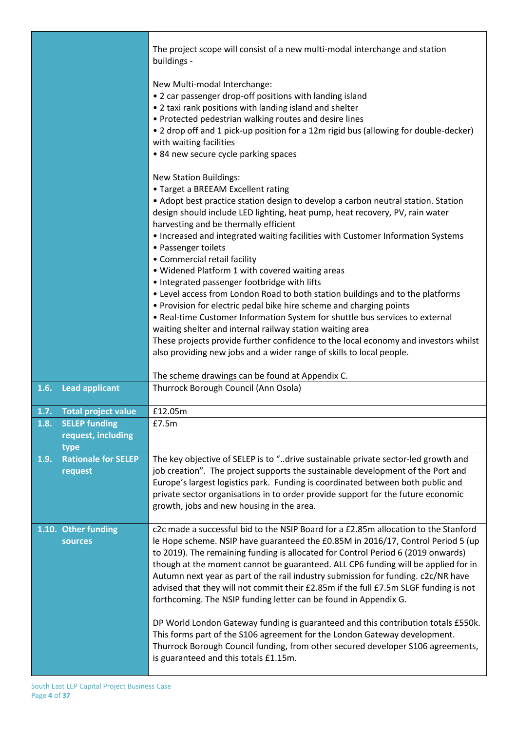|                                                            | The project scope will consist of a new multi-modal interchange and station<br>buildings -<br>New Multi-modal Interchange:<br>• 2 car passenger drop-off positions with landing island<br>• 2 taxi rank positions with landing island and shelter<br>• Protected pedestrian walking routes and desire lines<br>• 2 drop off and 1 pick-up position for a 12m rigid bus (allowing for double-decker)<br>with waiting facilities<br>• 84 new secure cycle parking spaces                                                                                                                                                                                                                                                                                                                                                                                                                          |
|------------------------------------------------------------|-------------------------------------------------------------------------------------------------------------------------------------------------------------------------------------------------------------------------------------------------------------------------------------------------------------------------------------------------------------------------------------------------------------------------------------------------------------------------------------------------------------------------------------------------------------------------------------------------------------------------------------------------------------------------------------------------------------------------------------------------------------------------------------------------------------------------------------------------------------------------------------------------|
|                                                            | <b>New Station Buildings:</b><br>• Target a BREEAM Excellent rating<br>• Adopt best practice station design to develop a carbon neutral station. Station<br>design should include LED lighting, heat pump, heat recovery, PV, rain water<br>harvesting and be thermally efficient<br>• Increased and integrated waiting facilities with Customer Information Systems<br>• Passenger toilets<br>• Commercial retail facility                                                                                                                                                                                                                                                                                                                                                                                                                                                                     |
|                                                            | . Widened Platform 1 with covered waiting areas<br>• Integrated passenger footbridge with lifts                                                                                                                                                                                                                                                                                                                                                                                                                                                                                                                                                                                                                                                                                                                                                                                                 |
|                                                            | • Level access from London Road to both station buildings and to the platforms                                                                                                                                                                                                                                                                                                                                                                                                                                                                                                                                                                                                                                                                                                                                                                                                                  |
|                                                            | • Provision for electric pedal bike hire scheme and charging points<br>• Real-time Customer Information System for shuttle bus services to external                                                                                                                                                                                                                                                                                                                                                                                                                                                                                                                                                                                                                                                                                                                                             |
|                                                            | waiting shelter and internal railway station waiting area                                                                                                                                                                                                                                                                                                                                                                                                                                                                                                                                                                                                                                                                                                                                                                                                                                       |
|                                                            | These projects provide further confidence to the local economy and investors whilst                                                                                                                                                                                                                                                                                                                                                                                                                                                                                                                                                                                                                                                                                                                                                                                                             |
|                                                            | also providing new jobs and a wider range of skills to local people.                                                                                                                                                                                                                                                                                                                                                                                                                                                                                                                                                                                                                                                                                                                                                                                                                            |
|                                                            | The scheme drawings can be found at Appendix C.                                                                                                                                                                                                                                                                                                                                                                                                                                                                                                                                                                                                                                                                                                                                                                                                                                                 |
| <b>Lead applicant</b><br>1.6.                              | Thurrock Borough Council (Ann Osola)                                                                                                                                                                                                                                                                                                                                                                                                                                                                                                                                                                                                                                                                                                                                                                                                                                                            |
| <b>Total project value</b><br>1.7.                         | £12.05m                                                                                                                                                                                                                                                                                                                                                                                                                                                                                                                                                                                                                                                                                                                                                                                                                                                                                         |
| 1.8.<br><b>SELEP funding</b><br>request, including<br>type | £7.5m                                                                                                                                                                                                                                                                                                                                                                                                                                                                                                                                                                                                                                                                                                                                                                                                                                                                                           |
| <b>Rationale for SELEP</b><br>1.9.<br>request              | The key objective of SELEP is to "drive sustainable private sector-led growth and<br>job creation". The project supports the sustainable development of the Port and<br>Europe's largest logistics park. Funding is coordinated between both public and<br>private sector organisations in to order provide support for the future economic<br>growth, jobs and new housing in the area.                                                                                                                                                                                                                                                                                                                                                                                                                                                                                                        |
| 1.10. Other funding<br>sources                             | c2c made a successful bid to the NSIP Board for a £2.85m allocation to the Stanford<br>le Hope scheme. NSIP have guaranteed the £0.85M in 2016/17, Control Period 5 (up<br>to 2019). The remaining funding is allocated for Control Period 6 (2019 onwards)<br>though at the moment cannot be guaranteed. ALL CP6 funding will be applied for in<br>Autumn next year as part of the rail industry submission for funding. c2c/NR have<br>advised that they will not commit their £2.85m if the full £7.5m SLGF funding is not<br>forthcoming. The NSIP funding letter can be found in Appendix G.<br>DP World London Gateway funding is guaranteed and this contribution totals £550k.<br>This forms part of the S106 agreement for the London Gateway development.<br>Thurrock Borough Council funding, from other secured developer S106 agreements,<br>is guaranteed and this totals £1.15m. |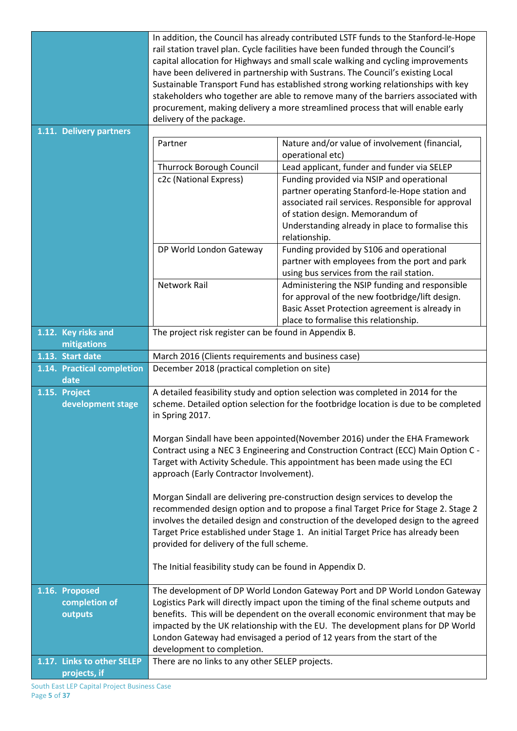|                                            | In addition, the Council has already contributed LSTF funds to the Stanford-le-Hope |                                                                                      |  |  |  |  |
|--------------------------------------------|-------------------------------------------------------------------------------------|--------------------------------------------------------------------------------------|--|--|--|--|
|                                            |                                                                                     | rail station travel plan. Cycle facilities have been funded through the Council's    |  |  |  |  |
|                                            |                                                                                     | capital allocation for Highways and small scale walking and cycling improvements     |  |  |  |  |
|                                            |                                                                                     | have been delivered in partnership with Sustrans. The Council's existing Local       |  |  |  |  |
|                                            | Sustainable Transport Fund has established strong working relationships with key    |                                                                                      |  |  |  |  |
|                                            | stakeholders who together are able to remove many of the barriers associated with   |                                                                                      |  |  |  |  |
|                                            | procurement, making delivery a more streamlined process that will enable early      |                                                                                      |  |  |  |  |
|                                            | delivery of the package.                                                            |                                                                                      |  |  |  |  |
| 1.11. Delivery partners                    |                                                                                     |                                                                                      |  |  |  |  |
|                                            | Partner                                                                             | Nature and/or value of involvement (financial,                                       |  |  |  |  |
|                                            |                                                                                     | operational etc)                                                                     |  |  |  |  |
|                                            | Thurrock Borough Council                                                            | Lead applicant, funder and funder via SELEP                                          |  |  |  |  |
|                                            | c2c (National Express)                                                              | Funding provided via NSIP and operational                                            |  |  |  |  |
|                                            |                                                                                     | partner operating Stanford-le-Hope station and                                       |  |  |  |  |
|                                            |                                                                                     | associated rail services. Responsible for approval                                   |  |  |  |  |
|                                            |                                                                                     | of station design. Memorandum of                                                     |  |  |  |  |
|                                            |                                                                                     | Understanding already in place to formalise this                                     |  |  |  |  |
|                                            | DP World London Gateway                                                             | relationship.<br>Funding provided by S106 and operational                            |  |  |  |  |
|                                            |                                                                                     | partner with employees from the port and park                                        |  |  |  |  |
|                                            |                                                                                     | using bus services from the rail station.                                            |  |  |  |  |
|                                            | Network Rail                                                                        | Administering the NSIP funding and responsible                                       |  |  |  |  |
|                                            |                                                                                     | for approval of the new footbridge/lift design.                                      |  |  |  |  |
|                                            |                                                                                     | Basic Asset Protection agreement is already in                                       |  |  |  |  |
|                                            |                                                                                     | place to formalise this relationship.                                                |  |  |  |  |
| 1.12. Key risks and                        | The project risk register can be found in Appendix B.                               |                                                                                      |  |  |  |  |
| mitigations                                |                                                                                     |                                                                                      |  |  |  |  |
| 1.13. Start date                           | March 2016 (Clients requirements and business case)                                 |                                                                                      |  |  |  |  |
|                                            |                                                                                     |                                                                                      |  |  |  |  |
| 1.14. Practical completion                 | December 2018 (practical completion on site)                                        |                                                                                      |  |  |  |  |
| date                                       |                                                                                     |                                                                                      |  |  |  |  |
| 1.15. Project                              |                                                                                     | A detailed feasibility study and option selection was completed in 2014 for the      |  |  |  |  |
| development stage                          |                                                                                     | scheme. Detailed option selection for the footbridge location is due to be completed |  |  |  |  |
|                                            | in Spring 2017.                                                                     |                                                                                      |  |  |  |  |
|                                            |                                                                                     |                                                                                      |  |  |  |  |
|                                            |                                                                                     | Morgan Sindall have been appointed (November 2016) under the EHA Framework           |  |  |  |  |
|                                            |                                                                                     | Contract using a NEC 3 Engineering and Construction Contract (ECC) Main Option C -   |  |  |  |  |
|                                            |                                                                                     | Target with Activity Schedule. This appointment has been made using the ECI          |  |  |  |  |
|                                            | approach (Early Contractor Involvement).                                            |                                                                                      |  |  |  |  |
|                                            |                                                                                     |                                                                                      |  |  |  |  |
|                                            |                                                                                     | Morgan Sindall are delivering pre-construction design services to develop the        |  |  |  |  |
|                                            |                                                                                     | recommended design option and to propose a final Target Price for Stage 2. Stage 2   |  |  |  |  |
|                                            |                                                                                     | involves the detailed design and construction of the developed design to the agreed  |  |  |  |  |
|                                            |                                                                                     | Target Price established under Stage 1. An initial Target Price has already been     |  |  |  |  |
|                                            | provided for delivery of the full scheme.                                           |                                                                                      |  |  |  |  |
|                                            | The Initial feasibility study can be found in Appendix D.                           |                                                                                      |  |  |  |  |
|                                            |                                                                                     |                                                                                      |  |  |  |  |
| 1.16. Proposed                             |                                                                                     | The development of DP World London Gateway Port and DP World London Gateway          |  |  |  |  |
| completion of                              |                                                                                     | Logistics Park will directly impact upon the timing of the final scheme outputs and  |  |  |  |  |
| outputs                                    |                                                                                     | benefits. This will be dependent on the overall economic environment that may be     |  |  |  |  |
|                                            |                                                                                     | impacted by the UK relationship with the EU. The development plans for DP World      |  |  |  |  |
|                                            |                                                                                     | London Gateway had envisaged a period of 12 years from the start of the              |  |  |  |  |
|                                            | development to completion.                                                          |                                                                                      |  |  |  |  |
| 1.17. Links to other SELEP<br>projects, if | There are no links to any other SELEP projects.                                     |                                                                                      |  |  |  |  |

South East LEP Capital Project Business Case Page **5** of **37**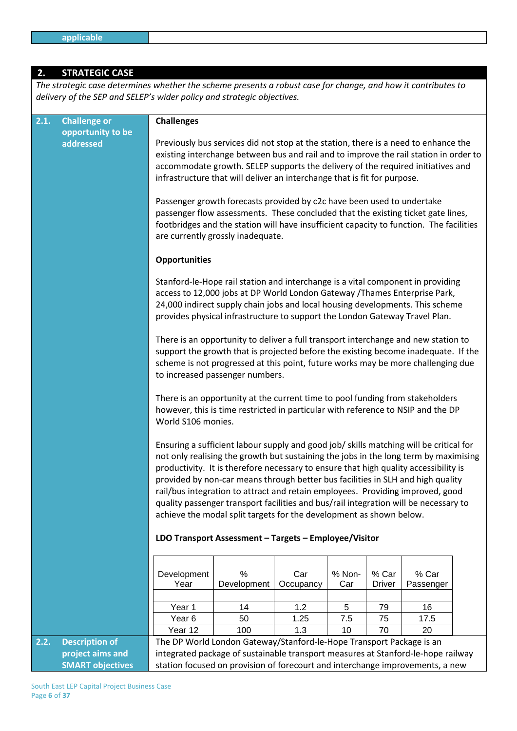## **2. STRATEGIC CASE** *The strategic case determines whether the scheme presents a robust case for change, and how it contributes to delivery of the SEP and SELEP's wider policy and strategic objectives.*  **2.1. Challenge or opportunity to be addressed Challenges** Previously bus services did not stop at the station, there is a need to enhance the existing interchange between bus and rail and to improve the rail station in order to accommodate growth. SELEP supports the delivery of the required initiatives and infrastructure that will deliver an interchange that is fit for purpose. Passenger growth forecasts provided by c2c have been used to undertake passenger flow assessments. These concluded that the existing ticket gate lines, footbridges and the station will have insufficient capacity to function. The facilities are currently grossly inadequate. **Opportunities** Stanford-le-Hope rail station and interchange is a vital component in providing access to 12,000 jobs at DP World London Gateway /Thames Enterprise Park, 24,000 indirect supply chain jobs and local housing developments. This scheme provides physical infrastructure to support the London Gateway Travel Plan. There is an opportunity to deliver a full transport interchange and new station to support the growth that is projected before the existing become inadequate. If the scheme is not progressed at this point, future works may be more challenging due to increased passenger numbers. There is an opportunity at the current time to pool funding from stakeholders however, this is time restricted in particular with reference to NSIP and the DP World S106 monies. Ensuring a sufficient labour supply and good job/ skills matching will be critical for not only realising the growth but sustaining the jobs in the long term by maximising productivity. It is therefore necessary to ensure that high quality accessibility is provided by non-car means through better bus facilities in SLH and high quality rail/bus integration to attract and retain employees. Providing improved, good quality passenger transport facilities and bus/rail integration will be necessary to achieve the modal split targets for the development as shown below. **LDO Transport Assessment – Targets – Employee/Visitor** Development Year % Development Car **Occupancy** % Non-Car % Car Driver % Car Passenger Year 1 14 1.2 15 79 16 Year 6 | 50 | 1.25 | 7.5 | 75 | 17.5 Year 12 | 100 | 1.3 | 10 | 70 | 20 **2.2. Description of project aims and SMART objectives** The DP World London Gateway/Stanford-le-Hope Transport Package is an integrated package of sustainable transport measures at Stanford-le-hope railway station focused on provision of forecourt and interchange improvements, a new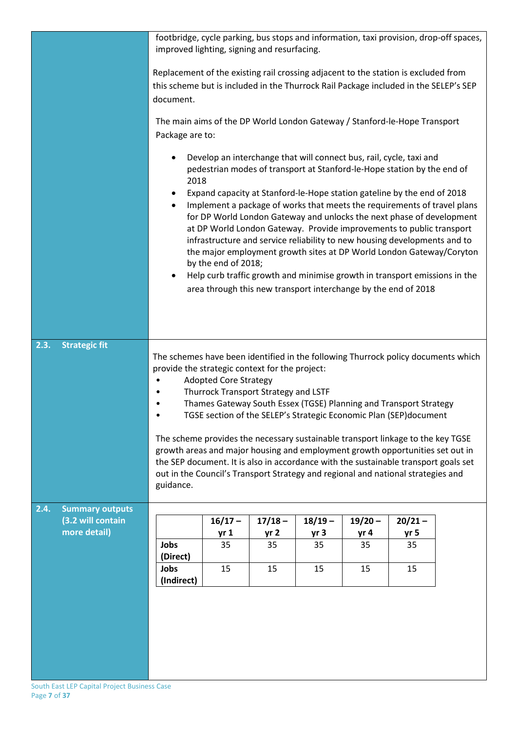|                                                     | footbridge, cycle parking, bus stops and information, taxi provision, drop-off spaces,<br>improved lighting, signing and resurfacing.                                                                                                                                                                                                                                                                                                                                                                                                                                                                                                                                                                                                                                                                                                          |                              |                                      |                 |           |                                                                                                                                        |  |
|-----------------------------------------------------|------------------------------------------------------------------------------------------------------------------------------------------------------------------------------------------------------------------------------------------------------------------------------------------------------------------------------------------------------------------------------------------------------------------------------------------------------------------------------------------------------------------------------------------------------------------------------------------------------------------------------------------------------------------------------------------------------------------------------------------------------------------------------------------------------------------------------------------------|------------------------------|--------------------------------------|-----------------|-----------|----------------------------------------------------------------------------------------------------------------------------------------|--|
|                                                     | Replacement of the existing rail crossing adjacent to the station is excluded from<br>this scheme but is included in the Thurrock Rail Package included in the SELEP's SEP<br>document.                                                                                                                                                                                                                                                                                                                                                                                                                                                                                                                                                                                                                                                        |                              |                                      |                 |           |                                                                                                                                        |  |
|                                                     | The main aims of the DP World London Gateway / Stanford-le-Hope Transport<br>Package are to:                                                                                                                                                                                                                                                                                                                                                                                                                                                                                                                                                                                                                                                                                                                                                   |                              |                                      |                 |           |                                                                                                                                        |  |
|                                                     | Develop an interchange that will connect bus, rail, cycle, taxi and<br>$\bullet$<br>pedestrian modes of transport at Stanford-le-Hope station by the end of<br>2018<br>Expand capacity at Stanford-le-Hope station gateline by the end of 2018<br>$\bullet$<br>Implement a package of works that meets the requirements of travel plans<br>$\bullet$<br>for DP World London Gateway and unlocks the next phase of development<br>at DP World London Gateway. Provide improvements to public transport<br>infrastructure and service reliability to new housing developments and to<br>the major employment growth sites at DP World London Gateway/Coryton<br>by the end of 2018;<br>Help curb traffic growth and minimise growth in transport emissions in the<br>$\bullet$<br>area through this new transport interchange by the end of 2018 |                              |                                      |                 |           |                                                                                                                                        |  |
| 2.3.<br><b>Strategic fit</b>                        | The schemes have been identified in the following Thurrock policy documents which<br>provide the strategic context for the project:<br>The scheme provides the necessary sustainable transport linkage to the key TGSE<br>growth areas and major housing and employment growth opportunities set out in<br>the SEP document. It is also in accordance with the sustainable transport goals set<br>out in the Council's Transport Strategy and regional and national strategies and<br>guidance.                                                                                                                                                                                                                                                                                                                                                | <b>Adopted Core Strategy</b> | Thurrock Transport Strategy and LSTF |                 |           | Thames Gateway South Essex (TGSE) Planning and Transport Strategy<br>TGSE section of the SELEP's Strategic Economic Plan (SEP)document |  |
| 2.4.<br><b>Summary outputs</b><br>(3.2 will contain |                                                                                                                                                                                                                                                                                                                                                                                                                                                                                                                                                                                                                                                                                                                                                                                                                                                | $16/17 -$                    | $17/18 -$                            | $18/19 -$       | $19/20 -$ | $20/21 -$                                                                                                                              |  |
| more detail)                                        |                                                                                                                                                                                                                                                                                                                                                                                                                                                                                                                                                                                                                                                                                                                                                                                                                                                | yr <sub>1</sub>              | yr 2                                 | yr <sub>3</sub> | yr 4      | yr 5                                                                                                                                   |  |
|                                                     | Jobs                                                                                                                                                                                                                                                                                                                                                                                                                                                                                                                                                                                                                                                                                                                                                                                                                                           | 35                           | 35                                   | 35              | 35        | 35                                                                                                                                     |  |
|                                                     | (Direct)<br>Jobs                                                                                                                                                                                                                                                                                                                                                                                                                                                                                                                                                                                                                                                                                                                                                                                                                               | 15                           | 15                                   | 15              | 15        | 15                                                                                                                                     |  |
|                                                     | (Indirect)                                                                                                                                                                                                                                                                                                                                                                                                                                                                                                                                                                                                                                                                                                                                                                                                                                     |                              |                                      |                 |           |                                                                                                                                        |  |
|                                                     |                                                                                                                                                                                                                                                                                                                                                                                                                                                                                                                                                                                                                                                                                                                                                                                                                                                |                              |                                      |                 |           |                                                                                                                                        |  |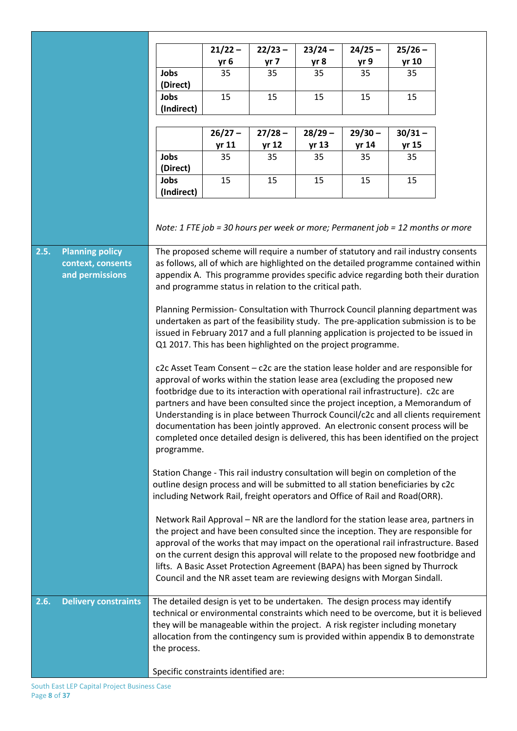|                                      |                                                                                                                                                                                                                                                                                                                                                                                                                                                                                                                   | $21/22 -$                                                                                                                                                                                                                                                                                                                                                                                                                                                                                                                                                                                                           | $22/23 -$  | $23/24 -$  | $24/25 -$  | $25/26 -$   |  |
|--------------------------------------|-------------------------------------------------------------------------------------------------------------------------------------------------------------------------------------------------------------------------------------------------------------------------------------------------------------------------------------------------------------------------------------------------------------------------------------------------------------------------------------------------------------------|---------------------------------------------------------------------------------------------------------------------------------------------------------------------------------------------------------------------------------------------------------------------------------------------------------------------------------------------------------------------------------------------------------------------------------------------------------------------------------------------------------------------------------------------------------------------------------------------------------------------|------------|------------|------------|-------------|--|
|                                      | Jobs                                                                                                                                                                                                                                                                                                                                                                                                                                                                                                              | yr 6<br>35                                                                                                                                                                                                                                                                                                                                                                                                                                                                                                                                                                                                          | yr 7<br>35 | yr 8<br>35 | yr 9<br>35 | yr 10<br>35 |  |
|                                      | (Direct)                                                                                                                                                                                                                                                                                                                                                                                                                                                                                                          |                                                                                                                                                                                                                                                                                                                                                                                                                                                                                                                                                                                                                     |            |            |            |             |  |
|                                      | Jobs                                                                                                                                                                                                                                                                                                                                                                                                                                                                                                              | 15                                                                                                                                                                                                                                                                                                                                                                                                                                                                                                                                                                                                                  | 15         | 15         | 15         | 15          |  |
|                                      | (Indirect)                                                                                                                                                                                                                                                                                                                                                                                                                                                                                                        |                                                                                                                                                                                                                                                                                                                                                                                                                                                                                                                                                                                                                     |            |            |            |             |  |
|                                      |                                                                                                                                                                                                                                                                                                                                                                                                                                                                                                                   |                                                                                                                                                                                                                                                                                                                                                                                                                                                                                                                                                                                                                     |            |            |            |             |  |
|                                      |                                                                                                                                                                                                                                                                                                                                                                                                                                                                                                                   | $26/27 -$                                                                                                                                                                                                                                                                                                                                                                                                                                                                                                                                                                                                           | $27/28 -$  | $28/29 -$  | $29/30 -$  | $30/31 -$   |  |
|                                      |                                                                                                                                                                                                                                                                                                                                                                                                                                                                                                                   | yr 11                                                                                                                                                                                                                                                                                                                                                                                                                                                                                                                                                                                                               | yr 12      | yr 13      | yr 14      | yr 15       |  |
|                                      | Jobs                                                                                                                                                                                                                                                                                                                                                                                                                                                                                                              | 35                                                                                                                                                                                                                                                                                                                                                                                                                                                                                                                                                                                                                  | 35         | 35         | 35         | 35          |  |
|                                      | (Direct)                                                                                                                                                                                                                                                                                                                                                                                                                                                                                                          |                                                                                                                                                                                                                                                                                                                                                                                                                                                                                                                                                                                                                     |            |            |            |             |  |
|                                      | Jobs<br>(Indirect)                                                                                                                                                                                                                                                                                                                                                                                                                                                                                                | 15                                                                                                                                                                                                                                                                                                                                                                                                                                                                                                                                                                                                                  | 15         | 15         | 15         | 15          |  |
|                                      |                                                                                                                                                                                                                                                                                                                                                                                                                                                                                                                   |                                                                                                                                                                                                                                                                                                                                                                                                                                                                                                                                                                                                                     |            |            |            |             |  |
| 2.5.<br><b>Planning policy</b>       | Note: 1 FTE job = 30 hours per week or more; Permanent job = 12 months or more<br>The proposed scheme will require a number of statutory and rail industry consents                                                                                                                                                                                                                                                                                                                                               |                                                                                                                                                                                                                                                                                                                                                                                                                                                                                                                                                                                                                     |            |            |            |             |  |
| context, consents<br>and permissions | as follows, all of which are highlighted on the detailed programme contained within<br>appendix A. This programme provides specific advice regarding both their duration<br>and programme status in relation to the critical path.                                                                                                                                                                                                                                                                                |                                                                                                                                                                                                                                                                                                                                                                                                                                                                                                                                                                                                                     |            |            |            |             |  |
|                                      | Planning Permission- Consultation with Thurrock Council planning department was<br>undertaken as part of the feasibility study. The pre-application submission is to be<br>issued in February 2017 and a full planning application is projected to be issued in<br>Q1 2017. This has been highlighted on the project programme.                                                                                                                                                                                   |                                                                                                                                                                                                                                                                                                                                                                                                                                                                                                                                                                                                                     |            |            |            |             |  |
|                                      |                                                                                                                                                                                                                                                                                                                                                                                                                                                                                                                   | c2c Asset Team Consent - c2c are the station lease holder and are responsible for<br>approval of works within the station lease area (excluding the proposed new<br>footbridge due to its interaction with operational rail infrastructure). c2c are<br>partners and have been consulted since the project inception, a Memorandum of<br>Understanding is in place between Thurrock Council/c2c and all clients requirement<br>documentation has been jointly approved. An electronic consent process will be<br>completed once detailed design is delivered, this has been identified on the project<br>programme. |            |            |            |             |  |
|                                      | Station Change - This rail industry consultation will begin on completion of the<br>outline design process and will be submitted to all station beneficiaries by c2c<br>including Network Rail, freight operators and Office of Rail and Road(ORR).                                                                                                                                                                                                                                                               |                                                                                                                                                                                                                                                                                                                                                                                                                                                                                                                                                                                                                     |            |            |            |             |  |
|                                      | Network Rail Approval - NR are the landlord for the station lease area, partners in<br>the project and have been consulted since the inception. They are responsible for<br>approval of the works that may impact on the operational rail infrastructure. Based<br>on the current design this approval will relate to the proposed new footbridge and<br>lifts. A Basic Asset Protection Agreement (BAPA) has been signed by Thurrock<br>Council and the NR asset team are reviewing designs with Morgan Sindall. |                                                                                                                                                                                                                                                                                                                                                                                                                                                                                                                                                                                                                     |            |            |            |             |  |
| <b>Delivery constraints</b><br>2.6.  | The detailed design is yet to be undertaken. The design process may identify<br>technical or environmental constraints which need to be overcome, but it is believed<br>they will be manageable within the project. A risk register including monetary<br>allocation from the contingency sum is provided within appendix B to demonstrate<br>the process.                                                                                                                                                        |                                                                                                                                                                                                                                                                                                                                                                                                                                                                                                                                                                                                                     |            |            |            |             |  |
|                                      | Specific constraints identified are:                                                                                                                                                                                                                                                                                                                                                                                                                                                                              |                                                                                                                                                                                                                                                                                                                                                                                                                                                                                                                                                                                                                     |            |            |            |             |  |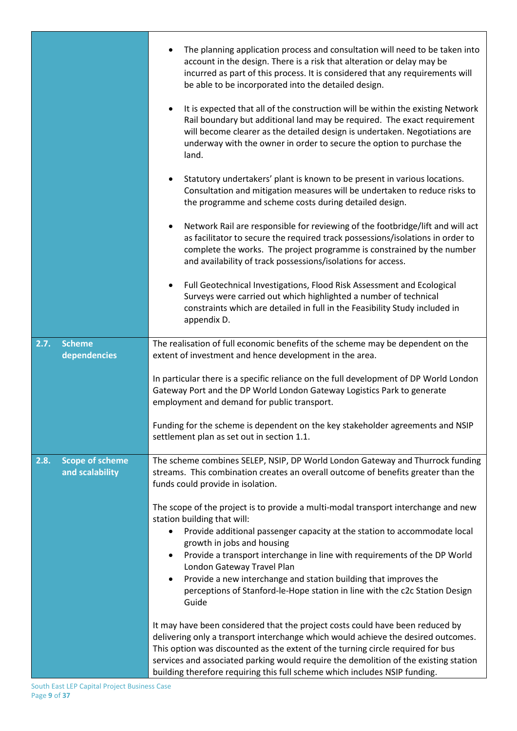|                                                   | The planning application process and consultation will need to be taken into<br>account in the design. There is a risk that alteration or delay may be<br>incurred as part of this process. It is considered that any requirements will<br>be able to be incorporated into the detailed design.<br>It is expected that all of the construction will be within the existing Network<br>Rail boundary but additional land may be required. The exact requirement<br>will become clearer as the detailed design is undertaken. Negotiations are<br>underway with the owner in order to secure the option to purchase the<br>land.<br>Statutory undertakers' plant is known to be present in various locations.<br>Consultation and mitigation measures will be undertaken to reduce risks to<br>the programme and scheme costs during detailed design.<br>Network Rail are responsible for reviewing of the footbridge/lift and will act<br>$\bullet$<br>as facilitator to secure the required track possessions/isolations in order to<br>complete the works. The project programme is constrained by the number<br>and availability of track possessions/isolations for access.<br>Full Geotechnical Investigations, Flood Risk Assessment and Ecological<br>$\bullet$<br>Surveys were carried out which highlighted a number of technical<br>constraints which are detailed in full in the Feasibility Study included in<br>appendix D. |
|---------------------------------------------------|-----------------------------------------------------------------------------------------------------------------------------------------------------------------------------------------------------------------------------------------------------------------------------------------------------------------------------------------------------------------------------------------------------------------------------------------------------------------------------------------------------------------------------------------------------------------------------------------------------------------------------------------------------------------------------------------------------------------------------------------------------------------------------------------------------------------------------------------------------------------------------------------------------------------------------------------------------------------------------------------------------------------------------------------------------------------------------------------------------------------------------------------------------------------------------------------------------------------------------------------------------------------------------------------------------------------------------------------------------------------------------------------------------------------------------------------|
| <b>Scheme</b><br>2.7.<br>dependencies             | The realisation of full economic benefits of the scheme may be dependent on the<br>extent of investment and hence development in the area.                                                                                                                                                                                                                                                                                                                                                                                                                                                                                                                                                                                                                                                                                                                                                                                                                                                                                                                                                                                                                                                                                                                                                                                                                                                                                              |
|                                                   | In particular there is a specific reliance on the full development of DP World London<br>Gateway Port and the DP World London Gateway Logistics Park to generate<br>employment and demand for public transport.                                                                                                                                                                                                                                                                                                                                                                                                                                                                                                                                                                                                                                                                                                                                                                                                                                                                                                                                                                                                                                                                                                                                                                                                                         |
|                                                   | Funding for the scheme is dependent on the key stakeholder agreements and NSIP<br>settlement plan as set out in section 1.1.                                                                                                                                                                                                                                                                                                                                                                                                                                                                                                                                                                                                                                                                                                                                                                                                                                                                                                                                                                                                                                                                                                                                                                                                                                                                                                            |
| 2.8.<br><b>Scope of scheme</b><br>and scalability | The scheme combines SELEP, NSIP, DP World London Gateway and Thurrock funding<br>streams. This combination creates an overall outcome of benefits greater than the<br>funds could provide in isolation.                                                                                                                                                                                                                                                                                                                                                                                                                                                                                                                                                                                                                                                                                                                                                                                                                                                                                                                                                                                                                                                                                                                                                                                                                                 |
|                                                   | The scope of the project is to provide a multi-modal transport interchange and new<br>station building that will:<br>Provide additional passenger capacity at the station to accommodate local<br>growth in jobs and housing<br>Provide a transport interchange in line with requirements of the DP World<br>London Gateway Travel Plan<br>Provide a new interchange and station building that improves the<br>perceptions of Stanford-le-Hope station in line with the c2c Station Design<br>Guide                                                                                                                                                                                                                                                                                                                                                                                                                                                                                                                                                                                                                                                                                                                                                                                                                                                                                                                                     |
|                                                   | It may have been considered that the project costs could have been reduced by<br>delivering only a transport interchange which would achieve the desired outcomes.<br>This option was discounted as the extent of the turning circle required for bus<br>services and associated parking would require the demolition of the existing station<br>building therefore requiring this full scheme which includes NSIP funding.                                                                                                                                                                                                                                                                                                                                                                                                                                                                                                                                                                                                                                                                                                                                                                                                                                                                                                                                                                                                             |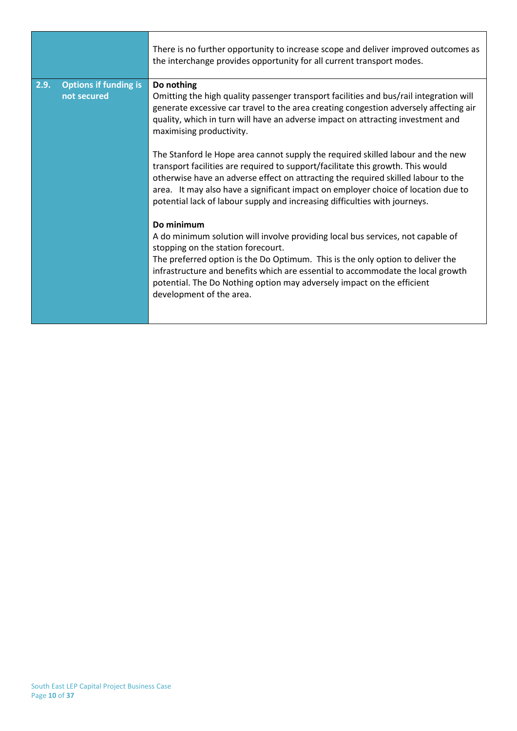|      |                                             | There is no further opportunity to increase scope and deliver improved outcomes as<br>the interchange provides opportunity for all current transport modes.                                                                                                                                                                                                                                                                |
|------|---------------------------------------------|----------------------------------------------------------------------------------------------------------------------------------------------------------------------------------------------------------------------------------------------------------------------------------------------------------------------------------------------------------------------------------------------------------------------------|
| 2.9. | <b>Options if funding is</b><br>not secured | Do nothing<br>Omitting the high quality passenger transport facilities and bus/rail integration will<br>generate excessive car travel to the area creating congestion adversely affecting air<br>quality, which in turn will have an adverse impact on attracting investment and<br>maximising productivity.                                                                                                               |
|      |                                             | The Stanford le Hope area cannot supply the required skilled labour and the new<br>transport facilities are required to support/facilitate this growth. This would<br>otherwise have an adverse effect on attracting the required skilled labour to the<br>area. It may also have a significant impact on employer choice of location due to<br>potential lack of labour supply and increasing difficulties with journeys. |
|      |                                             | Do minimum<br>A do minimum solution will involve providing local bus services, not capable of<br>stopping on the station forecourt.<br>The preferred option is the Do Optimum. This is the only option to deliver the<br>infrastructure and benefits which are essential to accommodate the local growth<br>potential. The Do Nothing option may adversely impact on the efficient<br>development of the area.             |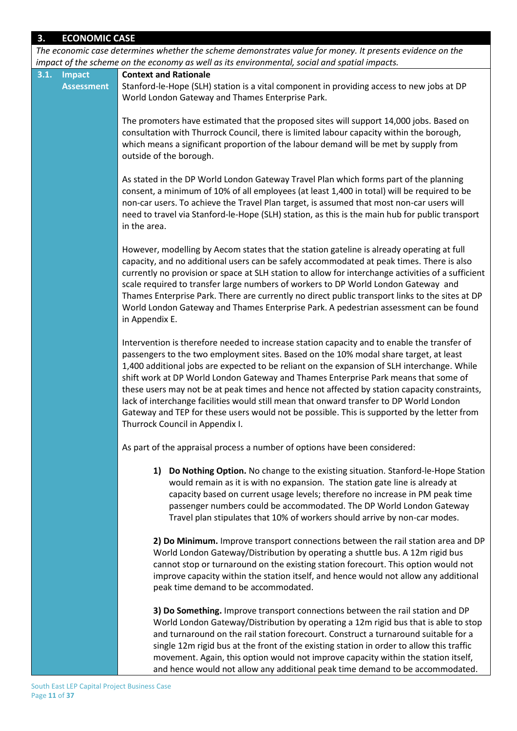| 3. |  |  | <b>ECONOMIC CASE</b> |  |
|----|--|--|----------------------|--|
|    |  |  |                      |  |

| The economic case determines whether the scheme demonstrates value for money. It presents evidence on the |
|-----------------------------------------------------------------------------------------------------------|
| impact of the scheme on the economy as well as its environmental, social and spatial impacts.             |

|      |                   | impact of the scheme on the economy as well as its environmental, social and spatial impacts.                                                                                                                                                                                                                                                                                                                                                                                                                                                                                                                                                                        |
|------|-------------------|----------------------------------------------------------------------------------------------------------------------------------------------------------------------------------------------------------------------------------------------------------------------------------------------------------------------------------------------------------------------------------------------------------------------------------------------------------------------------------------------------------------------------------------------------------------------------------------------------------------------------------------------------------------------|
| 3.1. | Impact            | <b>Context and Rationale</b>                                                                                                                                                                                                                                                                                                                                                                                                                                                                                                                                                                                                                                         |
|      | <b>Assessment</b> | Stanford-le-Hope (SLH) station is a vital component in providing access to new jobs at DP<br>World London Gateway and Thames Enterprise Park.                                                                                                                                                                                                                                                                                                                                                                                                                                                                                                                        |
|      |                   | The promoters have estimated that the proposed sites will support 14,000 jobs. Based on<br>consultation with Thurrock Council, there is limited labour capacity within the borough,<br>which means a significant proportion of the labour demand will be met by supply from<br>outside of the borough.                                                                                                                                                                                                                                                                                                                                                               |
|      |                   | As stated in the DP World London Gateway Travel Plan which forms part of the planning<br>consent, a minimum of 10% of all employees (at least 1,400 in total) will be required to be<br>non-car users. To achieve the Travel Plan target, is assumed that most non-car users will<br>need to travel via Stanford-le-Hope (SLH) station, as this is the main hub for public transport<br>in the area.                                                                                                                                                                                                                                                                 |
|      |                   | However, modelling by Aecom states that the station gateline is already operating at full<br>capacity, and no additional users can be safely accommodated at peak times. There is also<br>currently no provision or space at SLH station to allow for interchange activities of a sufficient<br>scale required to transfer large numbers of workers to DP World London Gateway and<br>Thames Enterprise Park. There are currently no direct public transport links to the sites at DP<br>World London Gateway and Thames Enterprise Park. A pedestrian assessment can be found<br>in Appendix E.                                                                     |
|      |                   | Intervention is therefore needed to increase station capacity and to enable the transfer of<br>passengers to the two employment sites. Based on the 10% modal share target, at least<br>1,400 additional jobs are expected to be reliant on the expansion of SLH interchange. While<br>shift work at DP World London Gateway and Thames Enterprise Park means that some of<br>these users may not be at peak times and hence not affected by station capacity constraints,<br>lack of interchange facilities would still mean that onward transfer to DP World London<br>Gateway and TEP for these users would not be possible. This is supported by the letter from |

As part of the appraisal process a number of options have been considered:

Thurrock Council in Appendix I.

**1) Do Nothing Option.** No change to the existing situation. Stanford-le-Hope Station would remain as it is with no expansion. The station gate line is already at capacity based on current usage levels; therefore no increase in PM peak time passenger numbers could be accommodated. The DP World London Gateway Travel plan stipulates that 10% of workers should arrive by non-car modes.

**2) Do Minimum.** Improve transport connections between the rail station area and DP World London Gateway/Distribution by operating a shuttle bus. A 12m rigid bus cannot stop or turnaround on the existing station forecourt. This option would not improve capacity within the station itself, and hence would not allow any additional peak time demand to be accommodated.

**3) Do Something.** Improve transport connections between the rail station and DP World London Gateway/Distribution by operating a 12m rigid bus that is able to stop and turnaround on the rail station forecourt. Construct a turnaround suitable for a single 12m rigid bus at the front of the existing station in order to allow this traffic movement. Again, this option would not improve capacity within the station itself, and hence would not allow any additional peak time demand to be accommodated.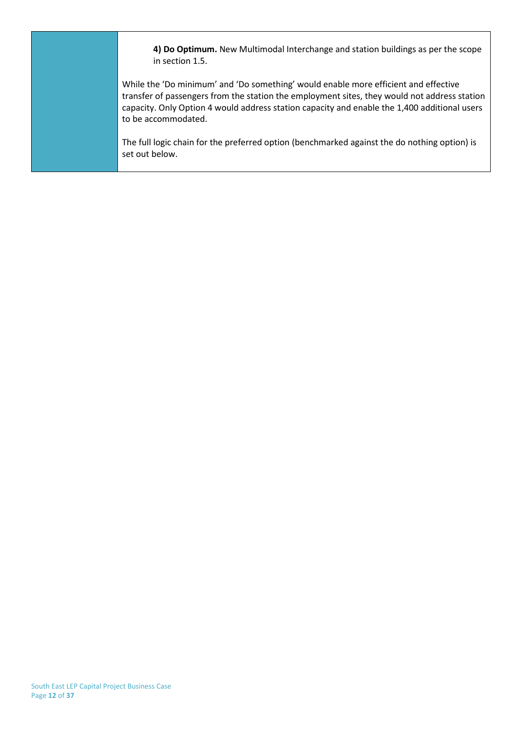**4) Do Optimum.** New Multimodal Interchange and station buildings as per the scope in section 1.5.

While the 'Do minimum' and 'Do something' would enable more efficient and effective transfer of passengers from the station the employment sites, they would not address station capacity. Only Option 4 would address station capacity and enable the 1,400 additional users to be accommodated.

The full logic chain for the preferred option (benchmarked against the do nothing option) is set out below.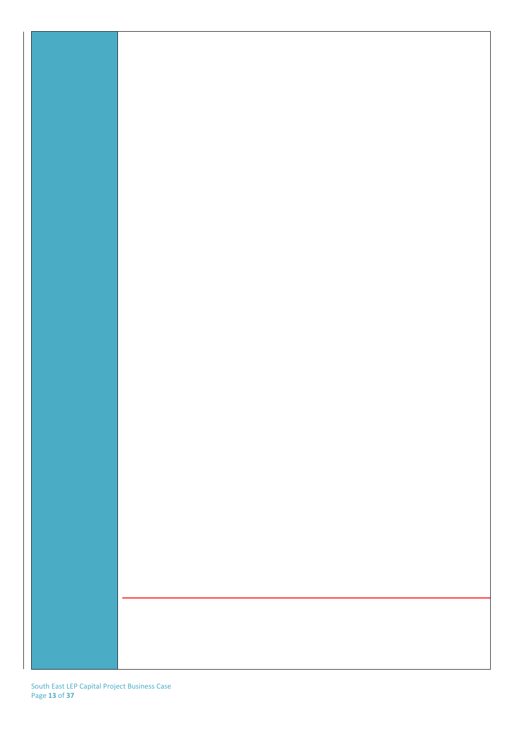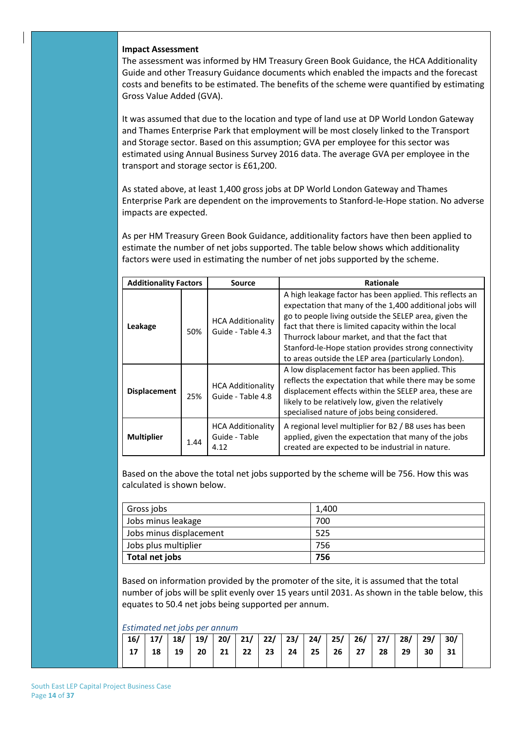#### **Impact Assessment**

The assessment was informed by HM Treasury Green Book Guidance, the HCA Additionality Guide and other Treasury Guidance documents which enabled the impacts and the forecast costs and benefits to be estimated. The benefits of the scheme were quantified by estimating Gross Value Added (GVA).

It was assumed that due to the location and type of land use at DP World London Gateway and Thames Enterprise Park that employment will be most closely linked to the Transport and Storage sector. Based on this assumption; GVA per employee for this sector was estimated using Annual Business Survey 2016 data. The average GVA per employee in the transport and storage sector is £61,200.

As stated above, at least 1,400 gross jobs at DP World London Gateway and Thames Enterprise Park are dependent on the improvements to Stanford-le-Hope station. No adverse impacts are expected.

As per HM Treasury Green Book Guidance, additionality factors have then been applied to estimate the number of net jobs supported. The table below shows which additionality factors were used in estimating the number of net jobs supported by the scheme.

| <b>Additionality Factors</b> |                                                      | <b>Source</b>                                     | <b>Rationale</b>                                                                                                                                                                                                                                                                                                                                                                                        |
|------------------------------|------------------------------------------------------|---------------------------------------------------|---------------------------------------------------------------------------------------------------------------------------------------------------------------------------------------------------------------------------------------------------------------------------------------------------------------------------------------------------------------------------------------------------------|
| Leakage                      | <b>HCA Additionality</b><br>Guide - Table 4.3<br>50% |                                                   | A high leakage factor has been applied. This reflects an<br>expectation that many of the 1,400 additional jobs will<br>go to people living outside the SELEP area, given the<br>fact that there is limited capacity within the local<br>Thurrock labour market, and that the fact that<br>Stanford-le-Hope station provides strong connectivity<br>to areas outside the LEP area (particularly London). |
| <b>Displacement</b>          | 25%                                                  | <b>HCA Additionality</b><br>Guide - Table 4.8     | A low displacement factor has been applied. This<br>reflects the expectation that while there may be some<br>displacement effects within the SELEP area, these are<br>likely to be relatively low, given the relatively<br>specialised nature of jobs being considered.                                                                                                                                 |
| <b>Multiplier</b>            | 1.44                                                 | <b>HCA Additionality</b><br>Guide - Table<br>4.12 | A regional level multiplier for B2 / B8 uses has been<br>applied, given the expectation that many of the jobs<br>created are expected to be industrial in nature.                                                                                                                                                                                                                                       |

Based on the above the total net jobs supported by the scheme will be 756. How this was calculated is shown below.

| Gross jobs              | 1.400 |
|-------------------------|-------|
| Jobs minus leakage      | 700   |
| Jobs minus displacement | 525   |
| Jobs plus multiplier    | 756   |
| Total net jobs          | 756   |

Based on information provided by the promoter of the site, it is assumed that the total number of jobs will be split evenly over 15 years until 2031. As shown in the table below, this equates to 50.4 net jobs being supported per annum.

#### *Estimated net jobs per annum*

| 16/ | 17/ | 18/ | $\vert$ 19/ $\vert$ |    |                 | $20/$ $21/$ $22/$ $23/$ $24/$ $25/$ |    |    |           |    | $26/$ 27/       | 28/ | $\vert$ 29/ | 30/ |
|-----|-----|-----|---------------------|----|-----------------|-------------------------------------|----|----|-----------|----|-----------------|-----|-------------|-----|
|     |     |     |                     |    |                 |                                     |    |    |           |    |                 |     |             |     |
|     | 18  | 19  | 20                  | 21 | 22 <sup>1</sup> | 23                                  | 24 | 25 | $26 \mid$ | 27 | 28 <sub>1</sub> | 29  | 30          | 31  |
|     |     |     |                     |    |                 |                                     |    |    |           |    |                 |     |             |     |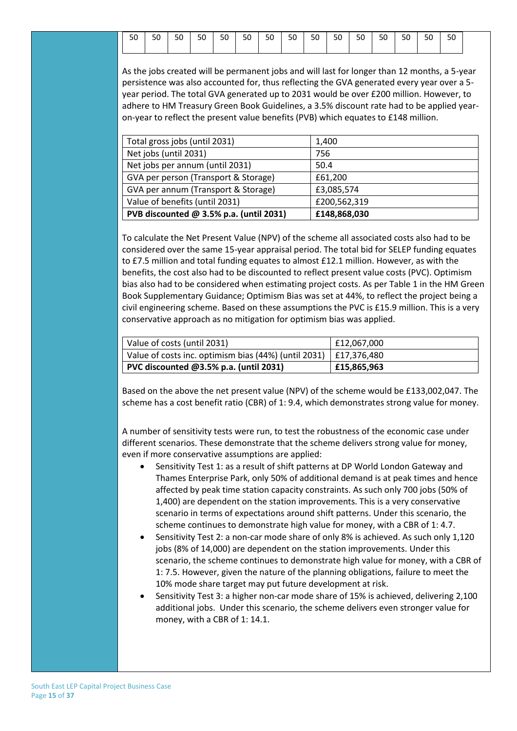| 50                                                                                                                                                                     | 50                                   | 50 | 50 | 50 | 50 | 50                                                   | 50 | 50   | 50           | 50          | 50 | 50 | 50 | 50 |  |
|------------------------------------------------------------------------------------------------------------------------------------------------------------------------|--------------------------------------|----|----|----|----|------------------------------------------------------|----|------|--------------|-------------|----|----|----|----|--|
|                                                                                                                                                                        |                                      |    |    |    |    |                                                      |    |      |              |             |    |    |    |    |  |
| As the jobs created will be permanent jobs and will last for longer than 12 months, a 5-year                                                                           |                                      |    |    |    |    |                                                      |    |      |              |             |    |    |    |    |  |
| persistence was also accounted for, thus reflecting the GVA generated every year over a 5-                                                                             |                                      |    |    |    |    |                                                      |    |      |              |             |    |    |    |    |  |
| year period. The total GVA generated up to 2031 would be over £200 million. However, to                                                                                |                                      |    |    |    |    |                                                      |    |      |              |             |    |    |    |    |  |
| adhere to HM Treasury Green Book Guidelines, a 3.5% discount rate had to be applied year-                                                                              |                                      |    |    |    |    |                                                      |    |      |              |             |    |    |    |    |  |
| on-year to reflect the present value benefits (PVB) which equates to £148 million.                                                                                     |                                      |    |    |    |    |                                                      |    |      |              |             |    |    |    |    |  |
|                                                                                                                                                                        |                                      |    |    |    |    |                                                      |    |      |              |             |    |    |    |    |  |
|                                                                                                                                                                        | Total gross jobs (until 2031)        |    |    |    |    |                                                      |    |      | 1,400        |             |    |    |    |    |  |
|                                                                                                                                                                        | Net jobs (until 2031)                |    |    |    |    |                                                      |    | 756  |              |             |    |    |    |    |  |
|                                                                                                                                                                        | Net jobs per annum (until 2031)      |    |    |    |    |                                                      |    | 50.4 |              |             |    |    |    |    |  |
|                                                                                                                                                                        | GVA per person (Transport & Storage) |    |    |    |    |                                                      |    |      | £61,200      |             |    |    |    |    |  |
|                                                                                                                                                                        | GVA per annum (Transport & Storage)  |    |    |    |    |                                                      |    |      | £3,085,574   |             |    |    |    |    |  |
|                                                                                                                                                                        | Value of benefits (until 2031)       |    |    |    |    |                                                      |    |      | £200,562,319 |             |    |    |    |    |  |
|                                                                                                                                                                        |                                      |    |    |    |    | PVB discounted @ 3.5% p.a. (until 2031)              |    |      | £148,868,030 |             |    |    |    |    |  |
|                                                                                                                                                                        |                                      |    |    |    |    |                                                      |    |      |              |             |    |    |    |    |  |
| To calculate the Net Present Value (NPV) of the scheme all associated costs also had to be                                                                             |                                      |    |    |    |    |                                                      |    |      |              |             |    |    |    |    |  |
| considered over the same 15-year appraisal period. The total bid for SELEP funding equates                                                                             |                                      |    |    |    |    |                                                      |    |      |              |             |    |    |    |    |  |
| to £7.5 million and total funding equates to almost £12.1 million. However, as with the                                                                                |                                      |    |    |    |    |                                                      |    |      |              |             |    |    |    |    |  |
| benefits, the cost also had to be discounted to reflect present value costs (PVC). Optimism                                                                            |                                      |    |    |    |    |                                                      |    |      |              |             |    |    |    |    |  |
| bias also had to be considered when estimating project costs. As per Table 1 in the HM Green                                                                           |                                      |    |    |    |    |                                                      |    |      |              |             |    |    |    |    |  |
| Book Supplementary Guidance; Optimism Bias was set at 44%, to reflect the project being a                                                                              |                                      |    |    |    |    |                                                      |    |      |              |             |    |    |    |    |  |
| civil engineering scheme. Based on these assumptions the PVC is £15.9 million. This is a very<br>conservative approach as no mitigation for optimism bias was applied. |                                      |    |    |    |    |                                                      |    |      |              |             |    |    |    |    |  |
|                                                                                                                                                                        |                                      |    |    |    |    |                                                      |    |      |              |             |    |    |    |    |  |
|                                                                                                                                                                        | Value of costs (until 2031)          |    |    |    |    |                                                      |    |      |              | £12,067,000 |    |    |    |    |  |
|                                                                                                                                                                        |                                      |    |    |    |    | Value of costs inc. optimism bias (44%) (until 2031) |    |      |              | £17,376,480 |    |    |    |    |  |
|                                                                                                                                                                        |                                      |    |    |    |    | PVC discounted @3.5% p.a. (until 2031)               |    |      |              | £15,865,963 |    |    |    |    |  |
|                                                                                                                                                                        |                                      |    |    |    |    |                                                      |    |      |              |             |    |    |    |    |  |

Based on the above the net present value (NPV) of the scheme would be £133,002,047. The scheme has a cost benefit ratio (CBR) of 1: 9.4, which demonstrates strong value for money.

A number of sensitivity tests were run, to test the robustness of the economic case under different scenarios. These demonstrate that the scheme delivers strong value for money, even if more conservative assumptions are applied:

- Sensitivity Test 1: as a result of shift patterns at DP World London Gateway and Thames Enterprise Park, only 50% of additional demand is at peak times and hence affected by peak time station capacity constraints. As such only 700 jobs (50% of 1,400) are dependent on the station improvements. This is a very conservative scenario in terms of expectations around shift patterns. Under this scenario, the scheme continues to demonstrate high value for money, with a CBR of 1: 4.7.
- Sensitivity Test 2: a non-car mode share of only 8% is achieved. As such only 1,120 jobs (8% of 14,000) are dependent on the station improvements. Under this scenario, the scheme continues to demonstrate high value for money, with a CBR of 1: 7.5. However, given the nature of the planning obligations, failure to meet the 10% mode share target may put future development at risk.
- Sensitivity Test 3: a higher non-car mode share of 15% is achieved, delivering 2,100 additional jobs. Under this scenario, the scheme delivers even stronger value for money, with a CBR of 1: 14.1.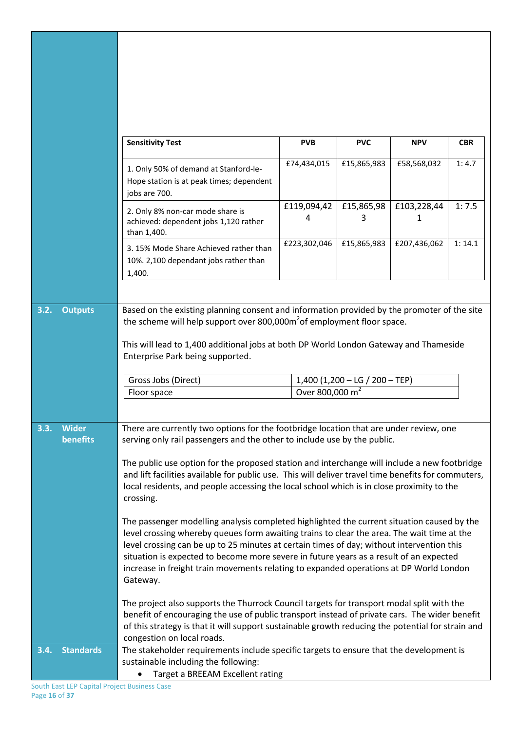|                                         | <b>Sensitivity Test</b>                                                                                                                                                                                                                                                                                                                                                                                                                                                               | <b>PVB</b>                  | <b>PVC</b>                       | <b>NPV</b>       | <b>CBR</b> |
|-----------------------------------------|---------------------------------------------------------------------------------------------------------------------------------------------------------------------------------------------------------------------------------------------------------------------------------------------------------------------------------------------------------------------------------------------------------------------------------------------------------------------------------------|-----------------------------|----------------------------------|------------------|------------|
|                                         | 1. Only 50% of demand at Stanford-le-<br>Hope station is at peak times; dependent<br>jobs are 700.                                                                                                                                                                                                                                                                                                                                                                                    | £74,434,015                 | £15,865,983                      | £58,568,032      | 1:4.7      |
|                                         | 2. Only 8% non-car mode share is<br>achieved: dependent jobs 1,120 rather<br>than 1,400.                                                                                                                                                                                                                                                                                                                                                                                              | £119,094,42<br>4            | £15,865,98<br>3                  | £103,228,44<br>1 | 1:7.5      |
|                                         | 3.15% Mode Share Achieved rather than<br>10%. 2,100 dependant jobs rather than<br>1,400.                                                                                                                                                                                                                                                                                                                                                                                              | £223,302,046                | £15,865,983                      | £207,436,062     | 1:14.1     |
| 3.2.<br><b>Outputs</b>                  | Based on the existing planning consent and information provided by the promoter of the site<br>the scheme will help support over 800,000m <sup>2</sup> of employment floor space.<br>This will lead to 1,400 additional jobs at both DP World London Gateway and Thameside<br>Enterprise Park being supported.                                                                                                                                                                        |                             |                                  |                  |            |
|                                         | Gross Jobs (Direct)<br>Floor space                                                                                                                                                                                                                                                                                                                                                                                                                                                    | Over 800,000 m <sup>2</sup> | $1,400$ (1,200 – LG / 200 – TEP) |                  |            |
|                                         |                                                                                                                                                                                                                                                                                                                                                                                                                                                                                       |                             |                                  |                  |            |
| <b>Wider</b><br>3.3.<br><b>benefits</b> | There are currently two options for the footbridge location that are under review, one<br>serving only rail passengers and the other to include use by the public.<br>The public use option for the proposed station and interchange will include a new footbridge<br>and lift facilities available for public use. This will deliver travel time benefits for commuters,<br>local residents, and people accessing the local school which is in close proximity to the<br>crossing.   |                             |                                  |                  |            |
|                                         | The passenger modelling analysis completed highlighted the current situation caused by the<br>level crossing whereby queues form awaiting trains to clear the area. The wait time at the<br>level crossing can be up to 25 minutes at certain times of day; without intervention this<br>situation is expected to become more severe in future years as a result of an expected<br>increase in freight train movements relating to expanded operations at DP World London<br>Gateway. |                             |                                  |                  |            |
|                                         | The project also supports the Thurrock Council targets for transport modal split with the<br>benefit of encouraging the use of public transport instead of private cars. The wider benefit<br>of this strategy is that it will support sustainable growth reducing the potential for strain and<br>congestion on local roads.                                                                                                                                                         |                             |                                  |                  |            |
| <b>Standards</b><br>3.4.                | The stakeholder requirements include specific targets to ensure that the development is<br>sustainable including the following:<br>Target a BREEAM Excellent rating                                                                                                                                                                                                                                                                                                                   |                             |                                  |                  |            |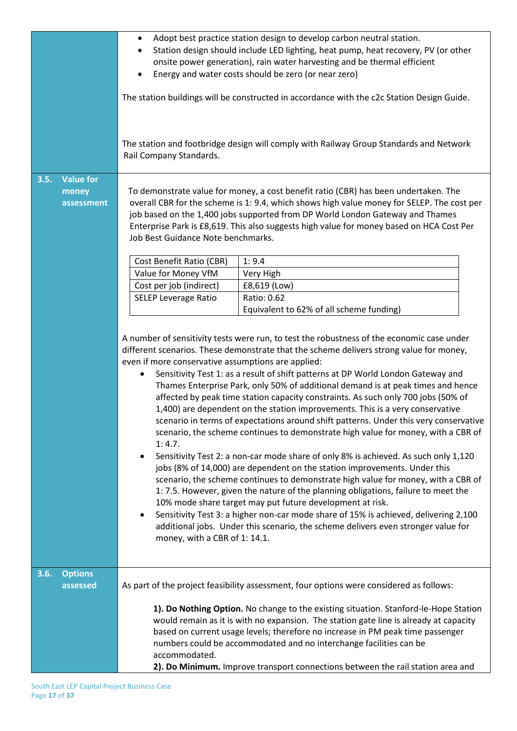|      |                                         | Adopt best practice station design to develop carbon neutral station.<br>$\bullet$<br>Station design should include LED lighting, heat pump, heat recovery, PV (or other<br>$\bullet$<br>onsite power generation), rain water harvesting and be thermal efficient<br>Energy and water costs should be zero (or near zero)<br>$\bullet$<br>The station buildings will be constructed in accordance with the c2c Station Design Guide. |                                                                                                                                                                                                                                                                                                                                                                                                                                                                                                                                                                                                                                                                                                                                                                                                                                                                                                                                                                                                                                                                                                                                                                                                                                                                                                          |  |  |  |  |  |
|------|-----------------------------------------|--------------------------------------------------------------------------------------------------------------------------------------------------------------------------------------------------------------------------------------------------------------------------------------------------------------------------------------------------------------------------------------------------------------------------------------|----------------------------------------------------------------------------------------------------------------------------------------------------------------------------------------------------------------------------------------------------------------------------------------------------------------------------------------------------------------------------------------------------------------------------------------------------------------------------------------------------------------------------------------------------------------------------------------------------------------------------------------------------------------------------------------------------------------------------------------------------------------------------------------------------------------------------------------------------------------------------------------------------------------------------------------------------------------------------------------------------------------------------------------------------------------------------------------------------------------------------------------------------------------------------------------------------------------------------------------------------------------------------------------------------------|--|--|--|--|--|
|      |                                         | Rail Company Standards.                                                                                                                                                                                                                                                                                                                                                                                                              | The station and footbridge design will comply with Railway Group Standards and Network                                                                                                                                                                                                                                                                                                                                                                                                                                                                                                                                                                                                                                                                                                                                                                                                                                                                                                                                                                                                                                                                                                                                                                                                                   |  |  |  |  |  |
| 3.5. | <b>Value for</b><br>money<br>assessment | To demonstrate value for money, a cost benefit ratio (CBR) has been undertaken. The<br>overall CBR for the scheme is 1: 9.4, which shows high value money for SELEP. The cost per<br>job based on the 1,400 jobs supported from DP World London Gateway and Thames<br>Enterprise Park is £8,619. This also suggests high value for money based on HCA Cost Per<br>Job Best Guidance Note benchmarks.                                 |                                                                                                                                                                                                                                                                                                                                                                                                                                                                                                                                                                                                                                                                                                                                                                                                                                                                                                                                                                                                                                                                                                                                                                                                                                                                                                          |  |  |  |  |  |
|      |                                         | Cost Benefit Ratio (CBR)                                                                                                                                                                                                                                                                                                                                                                                                             | 1:9.4                                                                                                                                                                                                                                                                                                                                                                                                                                                                                                                                                                                                                                                                                                                                                                                                                                                                                                                                                                                                                                                                                                                                                                                                                                                                                                    |  |  |  |  |  |
|      |                                         | Value for Money VfM                                                                                                                                                                                                                                                                                                                                                                                                                  | Very High                                                                                                                                                                                                                                                                                                                                                                                                                                                                                                                                                                                                                                                                                                                                                                                                                                                                                                                                                                                                                                                                                                                                                                                                                                                                                                |  |  |  |  |  |
|      |                                         | Cost per job (indirect)                                                                                                                                                                                                                                                                                                                                                                                                              | £8,619 (Low)                                                                                                                                                                                                                                                                                                                                                                                                                                                                                                                                                                                                                                                                                                                                                                                                                                                                                                                                                                                                                                                                                                                                                                                                                                                                                             |  |  |  |  |  |
|      |                                         | <b>SELEP Leverage Ratio</b>                                                                                                                                                                                                                                                                                                                                                                                                          | Ratio: 0.62<br>Equivalent to 62% of all scheme funding)                                                                                                                                                                                                                                                                                                                                                                                                                                                                                                                                                                                                                                                                                                                                                                                                                                                                                                                                                                                                                                                                                                                                                                                                                                                  |  |  |  |  |  |
|      |                                         | even if more conservative assumptions are applied:<br>٠<br>1:4.7.<br>٠<br>money, with a CBR of 1: 14.1.                                                                                                                                                                                                                                                                                                                              | A number of sensitivity tests were run, to test the robustness of the economic case under<br>different scenarios. These demonstrate that the scheme delivers strong value for money,<br>Sensitivity Test 1: as a result of shift patterns at DP World London Gateway and<br>Thames Enterprise Park, only 50% of additional demand is at peak times and hence<br>affected by peak time station capacity constraints. As such only 700 jobs (50% of<br>1,400) are dependent on the station improvements. This is a very conservative<br>scenario in terms of expectations around shift patterns. Under this very conservative<br>scenario, the scheme continues to demonstrate high value for money, with a CBR of<br>Sensitivity Test 2: a non-car mode share of only 8% is achieved. As such only 1,120<br>jobs (8% of 14,000) are dependent on the station improvements. Under this<br>scenario, the scheme continues to demonstrate high value for money, with a CBR of<br>1:7.5. However, given the nature of the planning obligations, failure to meet the<br>10% mode share target may put future development at risk.<br>Sensitivity Test 3: a higher non-car mode share of 15% is achieved, delivering 2,100<br>additional jobs. Under this scenario, the scheme delivers even stronger value for |  |  |  |  |  |
| 3.6. | <b>Options</b><br>assessed              |                                                                                                                                                                                                                                                                                                                                                                                                                                      | As part of the project feasibility assessment, four options were considered as follows:                                                                                                                                                                                                                                                                                                                                                                                                                                                                                                                                                                                                                                                                                                                                                                                                                                                                                                                                                                                                                                                                                                                                                                                                                  |  |  |  |  |  |
|      |                                         | accommodated.                                                                                                                                                                                                                                                                                                                                                                                                                        | 1). Do Nothing Option. No change to the existing situation. Stanford-le-Hope Station<br>would remain as it is with no expansion. The station gate line is already at capacity<br>based on current usage levels; therefore no increase in PM peak time passenger<br>numbers could be accommodated and no interchange facilities can be<br>2). Do Minimum. Improve transport connections between the rail station area and                                                                                                                                                                                                                                                                                                                                                                                                                                                                                                                                                                                                                                                                                                                                                                                                                                                                                 |  |  |  |  |  |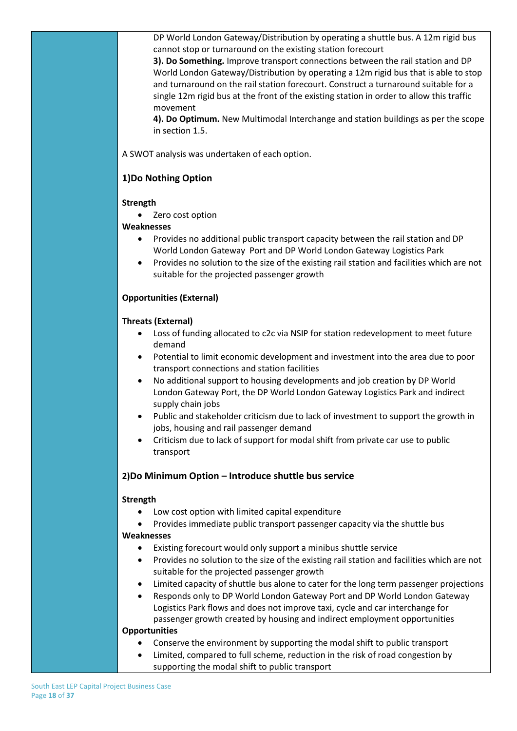DP World London Gateway/Distribution by operating a shuttle bus. A 12m rigid bus cannot stop or turnaround on the existing station forecourt

**3). Do Something.** Improve transport connections between the rail station and DP World London Gateway/Distribution by operating a 12m rigid bus that is able to stop and turnaround on the rail station forecourt. Construct a turnaround suitable for a single 12m rigid bus at the front of the existing station in order to allow this traffic movement

**4). Do Optimum.** New Multimodal Interchange and station buildings as per the scope in section 1.5.

A SWOT analysis was undertaken of each option.

# **1)Do Nothing Option**

# **Strength**

• Zero cost option

# **Weaknesses**

- Provides no additional public transport capacity between the rail station and DP World London Gateway Port and DP World London Gateway Logistics Park
- Provides no solution to the size of the existing rail station and facilities which are not suitable for the projected passenger growth

# **Opportunities (External)**

# **Threats (External)**

- Loss of funding allocated to c2c via NSIP for station redevelopment to meet future demand
- Potential to limit economic development and investment into the area due to poor transport connections and station facilities
- No additional support to housing developments and job creation by DP World London Gateway Port, the DP World London Gateway Logistics Park and indirect supply chain jobs
- Public and stakeholder criticism due to lack of investment to support the growth in jobs, housing and rail passenger demand
- Criticism due to lack of support for modal shift from private car use to public transport

# **2)Do Minimum Option – Introduce shuttle bus service**

# **Strength**

- Low cost option with limited capital expenditure
- Provides immediate public transport passenger capacity via the shuttle bus **Weaknesses** 
	- Existing forecourt would only support a minibus shuttle service
	- Provides no solution to the size of the existing rail station and facilities which are not suitable for the projected passenger growth
	- Limited capacity of shuttle bus alone to cater for the long term passenger projections
	- Responds only to DP World London Gateway Port and DP World London Gateway Logistics Park flows and does not improve taxi, cycle and car interchange for passenger growth created by housing and indirect employment opportunities

# **Opportunities**

- Conserve the environment by supporting the modal shift to public transport
- Limited, compared to full scheme, reduction in the risk of road congestion by supporting the modal shift to public transport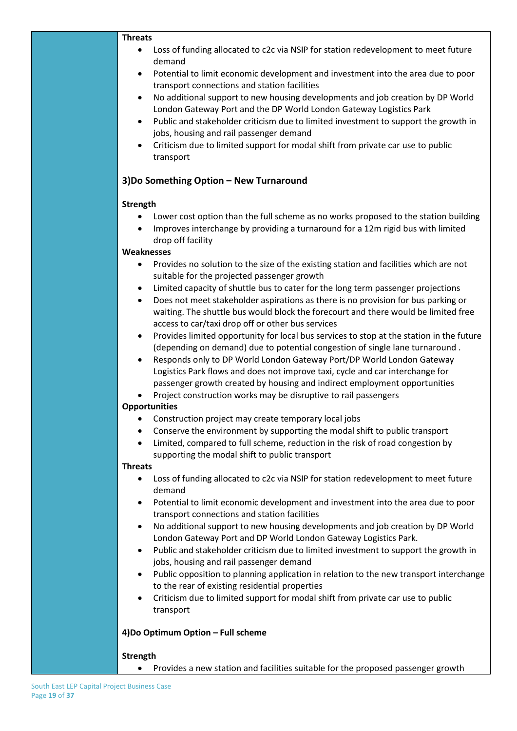#### **Threats**

- Loss of funding allocated to c2c via NSIP for station redevelopment to meet future demand
- Potential to limit economic development and investment into the area due to poor transport connections and station facilities
- No additional support to new housing developments and job creation by DP World London Gateway Port and the DP World London Gateway Logistics Park
- Public and stakeholder criticism due to limited investment to support the growth in jobs, housing and rail passenger demand
- Criticism due to limited support for modal shift from private car use to public transport

# **3)Do Something Option – New Turnaround**

## **Strength**

- Lower cost option than the full scheme as no works proposed to the station building
- Improves interchange by providing a turnaround for a 12m rigid bus with limited drop off facility

## **Weaknesses**

- Provides no solution to the size of the existing station and facilities which are not suitable for the projected passenger growth
- Limited capacity of shuttle bus to cater for the long term passenger projections
- Does not meet stakeholder aspirations as there is no provision for bus parking or waiting. The shuttle bus would block the forecourt and there would be limited free access to car/taxi drop off or other bus services
- Provides limited opportunity for local bus services to stop at the station in the future (depending on demand) due to potential congestion of single lane turnaround .
- Responds only to DP World London Gateway Port/DP World London Gateway Logistics Park flows and does not improve taxi, cycle and car interchange for passenger growth created by housing and indirect employment opportunities
- Project construction works may be disruptive to rail passengers

# **Opportunities**

- Construction project may create temporary local jobs
- Conserve the environment by supporting the modal shift to public transport
- Limited, compared to full scheme, reduction in the risk of road congestion by supporting the modal shift to public transport

### **Threats**

- Loss of funding allocated to c2c via NSIP for station redevelopment to meet future demand
- Potential to limit economic development and investment into the area due to poor transport connections and station facilities
- No additional support to new housing developments and job creation by DP World London Gateway Port and DP World London Gateway Logistics Park.
- Public and stakeholder criticism due to limited investment to support the growth in jobs, housing and rail passenger demand
- Public opposition to planning application in relation to the new transport interchange to the rear of existing residential properties
- Criticism due to limited support for modal shift from private car use to public transport

# **4)Do Optimum Option – Full scheme**

### **Strength**

Provides a new station and facilities suitable for the proposed passenger growth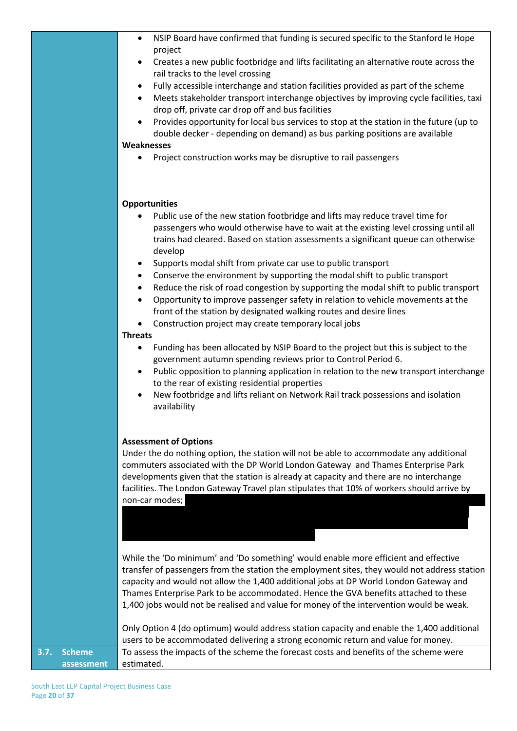|               | NSIP Board have confirmed that funding is secured specific to the Stanford le Hope<br>$\bullet$<br>project                                                                                                                                                                                                                                                              |
|---------------|-------------------------------------------------------------------------------------------------------------------------------------------------------------------------------------------------------------------------------------------------------------------------------------------------------------------------------------------------------------------------|
|               | Creates a new public footbridge and lifts facilitating an alternative route across the<br>rail tracks to the level crossing                                                                                                                                                                                                                                             |
|               | Fully accessible interchange and station facilities provided as part of the scheme<br>$\bullet$<br>Meets stakeholder transport interchange objectives by improving cycle facilities, taxi<br>$\bullet$<br>drop off, private car drop off and bus facilities<br>Provides opportunity for local bus services to stop at the station in the future (up to<br>$\bullet$     |
|               | double decker - depending on demand) as bus parking positions are available<br>Weaknesses                                                                                                                                                                                                                                                                               |
|               | Project construction works may be disruptive to rail passengers                                                                                                                                                                                                                                                                                                         |
|               | <b>Opportunities</b>                                                                                                                                                                                                                                                                                                                                                    |
|               | Public use of the new station footbridge and lifts may reduce travel time for<br>passengers who would otherwise have to wait at the existing level crossing until all<br>trains had cleared. Based on station assessments a significant queue can otherwise<br>develop                                                                                                  |
|               | Supports modal shift from private car use to public transport<br>$\bullet$<br>Conserve the environment by supporting the modal shift to public transport<br>$\bullet$                                                                                                                                                                                                   |
|               | Reduce the risk of road congestion by supporting the modal shift to public transport<br>٠<br>Opportunity to improve passenger safety in relation to vehicle movements at the<br>$\bullet$<br>front of the station by designated walking routes and desire lines                                                                                                         |
|               | Construction project may create temporary local jobs<br><b>Threats</b>                                                                                                                                                                                                                                                                                                  |
|               | Funding has been allocated by NSIP Board to the project but this is subject to the<br>government autumn spending reviews prior to Control Period 6.                                                                                                                                                                                                                     |
|               | Public opposition to planning application in relation to the new transport interchange<br>$\bullet$<br>to the rear of existing residential properties                                                                                                                                                                                                                   |
|               | New footbridge and lifts reliant on Network Rail track possessions and isolation<br>$\bullet$<br>availability                                                                                                                                                                                                                                                           |
|               | <b>Assessment of Options</b>                                                                                                                                                                                                                                                                                                                                            |
|               | Under the do nothing option, the station will not be able to accommodate any additional<br>commuters associated with the DP World London Gateway and Thames Enterprise Park<br>developments given that the station is already at capacity and there are no interchange                                                                                                  |
|               | facilities. The London Gateway Travel plan stipulates that 10% of workers should arrive by<br>non-car modes;                                                                                                                                                                                                                                                            |
|               |                                                                                                                                                                                                                                                                                                                                                                         |
|               |                                                                                                                                                                                                                                                                                                                                                                         |
|               | While the 'Do minimum' and 'Do something' would enable more efficient and effective                                                                                                                                                                                                                                                                                     |
|               | transfer of passengers from the station the employment sites, they would not address station<br>capacity and would not allow the 1,400 additional jobs at DP World London Gateway and<br>Thames Enterprise Park to be accommodated. Hence the GVA benefits attached to these<br>1,400 jobs would not be realised and value for money of the intervention would be weak. |
|               | Only Option 4 (do optimum) would address station capacity and enable the 1,400 additional<br>users to be accommodated delivering a strong economic return and value for money.                                                                                                                                                                                          |
| <b>Scheme</b> | To assess the impacts of the scheme the forecast costs and benefits of the scheme were                                                                                                                                                                                                                                                                                  |
| assessment    | estimated.                                                                                                                                                                                                                                                                                                                                                              |

**3.7.**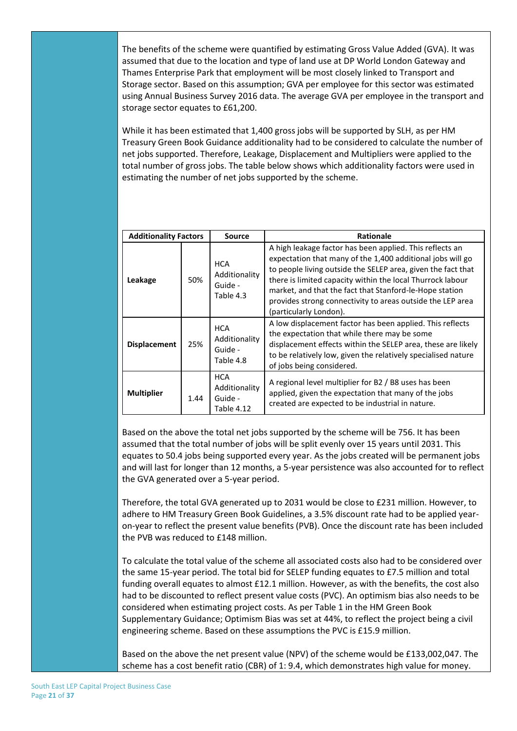The benefits of the scheme were quantified by estimating Gross Value Added (GVA). It was assumed that due to the location and type of land use at DP World London Gateway and Thames Enterprise Park that employment will be most closely linked to Transport and Storage sector. Based on this assumption; GVA per employee for this sector was estimated using Annual Business Survey 2016 data. The average GVA per employee in the transport and storage sector equates to £61,200.

While it has been estimated that 1,400 gross jobs will be supported by SLH, as per HM Treasury Green Book Guidance additionality had to be considered to calculate the number of net jobs supported. Therefore, Leakage, Displacement and Multipliers were applied to the total number of gross jobs. The table below shows which additionality factors were used in estimating the number of net jobs supported by the scheme.

| <b>Additionality Factors</b> |      | <b>Source</b>                                        | <b>Rationale</b>                                                                                                                                                                                                                                                                                                                                                                                        |
|------------------------------|------|------------------------------------------------------|---------------------------------------------------------------------------------------------------------------------------------------------------------------------------------------------------------------------------------------------------------------------------------------------------------------------------------------------------------------------------------------------------------|
| Leakage                      | 50%  | <b>HCA</b><br>Additionality<br>Guide -<br>Table 4.3  | A high leakage factor has been applied. This reflects an<br>expectation that many of the 1,400 additional jobs will go<br>to people living outside the SELEP area, given the fact that<br>there is limited capacity within the local Thurrock labour<br>market, and that the fact that Stanford-le-Hope station<br>provides strong connectivity to areas outside the LEP area<br>(particularly London). |
| <b>Displacement</b>          | 25%  | <b>HCA</b><br>Additionality<br>Guide -<br>Table 4.8  | A low displacement factor has been applied. This reflects<br>the expectation that while there may be some<br>displacement effects within the SELEP area, these are likely<br>to be relatively low, given the relatively specialised nature<br>of jobs being considered.                                                                                                                                 |
| <b>Multiplier</b>            | 1.44 | <b>HCA</b><br>Additionality<br>Guide -<br>Table 4.12 | A regional level multiplier for B2 / B8 uses has been<br>applied, given the expectation that many of the jobs<br>created are expected to be industrial in nature.                                                                                                                                                                                                                                       |

Based on the above the total net jobs supported by the scheme will be 756. It has been assumed that the total number of jobs will be split evenly over 15 years until 2031. This equates to 50.4 jobs being supported every year. As the jobs created will be permanent jobs and will last for longer than 12 months, a 5-year persistence was also accounted for to reflect the GVA generated over a 5-year period.

Therefore, the total GVA generated up to 2031 would be close to £231 million. However, to adhere to HM Treasury Green Book Guidelines, a 3.5% discount rate had to be applied yearon-year to reflect the present value benefits (PVB). Once the discount rate has been included the PVB was reduced to £148 million.

To calculate the total value of the scheme all associated costs also had to be considered over the same 15-year period. The total bid for SELEP funding equates to £7.5 million and total funding overall equates to almost £12.1 million. However, as with the benefits, the cost also had to be discounted to reflect present value costs (PVC). An optimism bias also needs to be considered when estimating project costs. As per Table 1 in the HM Green Book Supplementary Guidance; Optimism Bias was set at 44%, to reflect the project being a civil engineering scheme. Based on these assumptions the PVC is £15.9 million.

Based on the above the net present value (NPV) of the scheme would be £133,002,047. The scheme has a cost benefit ratio (CBR) of 1: 9.4, which demonstrates high value for money.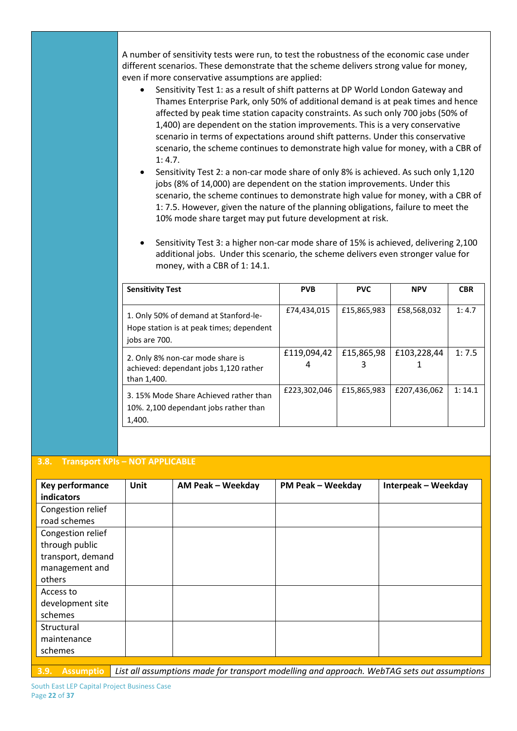A number of sensitivity tests were run, to test the robustness of the economic case under different scenarios. These demonstrate that the scheme delivers strong value for money, even if more conservative assumptions are applied:

- Sensitivity Test 1: as a result of shift patterns at DP World London Gateway and Thames Enterprise Park, only 50% of additional demand is at peak times and hence affected by peak time station capacity constraints. As such only 700 jobs (50% of 1,400) are dependent on the station improvements. This is a very conservative scenario in terms of expectations around shift patterns. Under this conservative scenario, the scheme continues to demonstrate high value for money, with a CBR of 1: 4.7.
- Sensitivity Test 2: a non-car mode share of only 8% is achieved. As such only 1,120 jobs (8% of 14,000) are dependent on the station improvements. Under this scenario, the scheme continues to demonstrate high value for money, with a CBR of 1: 7.5. However, given the nature of the planning obligations, failure to meet the 10% mode share target may put future development at risk.
- Sensitivity Test 3: a higher non-car mode share of 15% is achieved, delivering 2,100 additional jobs. Under this scenario, the scheme delivers even stronger value for money, with a CBR of 1: 14.1.

| <b>Sensitivity Test</b>                                                                            | <b>PVB</b>       | <b>PVC</b>      | <b>NPV</b>   | <b>CBR</b> |
|----------------------------------------------------------------------------------------------------|------------------|-----------------|--------------|------------|
|                                                                                                    |                  |                 |              |            |
| 1. Only 50% of demand at Stanford-le-<br>Hope station is at peak times; dependent<br>jobs are 700. | £74,434,015      | £15,865,983     | £58,568,032  | 1:4.7      |
| 2. Only 8% non-car mode share is<br>achieved: dependant jobs 1,120 rather<br>than 1,400.           | £119,094,42<br>4 | £15,865,98<br>З | £103,228,44  | 1:7.5      |
| 3.15% Mode Share Achieved rather than<br>10%. 2,100 dependant jobs rather than<br>1,400.           | £223,302,046     | £15,865,983     | £207,436,062 | 1:14.1     |

### **3.8. Transport KPIs – NOT APPLICABLE**

| Key performance   | Unit | AM Peak - Weekday | <b>PM Peak - Weekday</b> | Interpeak - Weekday |
|-------------------|------|-------------------|--------------------------|---------------------|
| indicators        |      |                   |                          |                     |
| Congestion relief |      |                   |                          |                     |
| road schemes      |      |                   |                          |                     |
| Congestion relief |      |                   |                          |                     |
| through public    |      |                   |                          |                     |
| transport, demand |      |                   |                          |                     |
| management and    |      |                   |                          |                     |
| others            |      |                   |                          |                     |
| Access to         |      |                   |                          |                     |
| development site  |      |                   |                          |                     |
| schemes           |      |                   |                          |                     |
| Structural        |      |                   |                          |                     |
| maintenance       |      |                   |                          |                     |
| schemes           |      |                   |                          |                     |
|                   |      |                   |                          |                     |

**3.9. Assumptio** *List all assumptions made for transport modelling and approach. WebTAG sets out assumptions*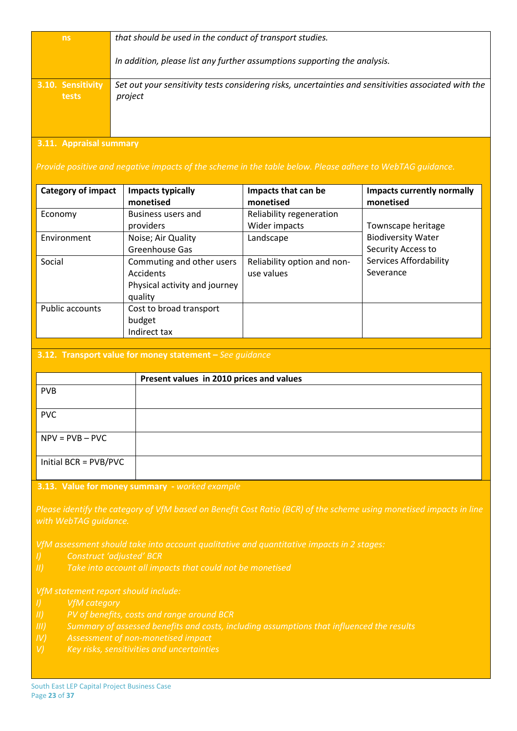| ns                                | that should be used in the conduct of transport studies.                                                         |
|-----------------------------------|------------------------------------------------------------------------------------------------------------------|
|                                   | In addition, please list any further assumptions supporting the analysis.                                        |
| 3.10. Sensitivity<br><b>tests</b> | Set out your sensitivity tests considering risks, uncertainties and sensitivities associated with the<br>project |

#### **3.11. Appraisal summary**

#### *Provide positive and negative impacts of the scheme in the table below. Please adhere to WebTAG guidance.*

| <b>Category of impact</b> | Impacts typically<br>monetised                                                     | Impacts that can be<br>monetised          | <b>Impacts currently normally</b><br>monetised  |
|---------------------------|------------------------------------------------------------------------------------|-------------------------------------------|-------------------------------------------------|
| Economy                   | <b>Business users and</b><br>providers                                             | Reliability regeneration<br>Wider impacts | Townscape heritage                              |
| Environment               | Noise; Air Quality<br><b>Greenhouse Gas</b>                                        | Landscape                                 | <b>Biodiversity Water</b><br>Security Access to |
| Social                    | Commuting and other users<br>Accidents<br>Physical activity and journey<br>quality | Reliability option and non-<br>use values | Services Affordability<br>Severance             |
| Public accounts           | Cost to broad transport<br>budget<br>Indirect tax                                  |                                           |                                                 |

## **3.12. Transport value for money statement –** *See guidance*

|                       | Present values in 2010 prices and values |
|-----------------------|------------------------------------------|
| <b>PVB</b>            |                                          |
| <b>PVC</b>            |                                          |
| $NPV = PVB - PVC$     |                                          |
| Initial BCR = PVB/PVC |                                          |

#### **3.13. Value for money summary -** *worked example*

*Please identify the category of VfM based on Benefit Cost Ratio (BCR) of the scheme using monetised impacts in line with WebTAG guidance.* 

- *I) Construct 'adjusted' BCR*
- *II) Take into account all impacts that could not be monetised*

- 
- 
- 
- 
-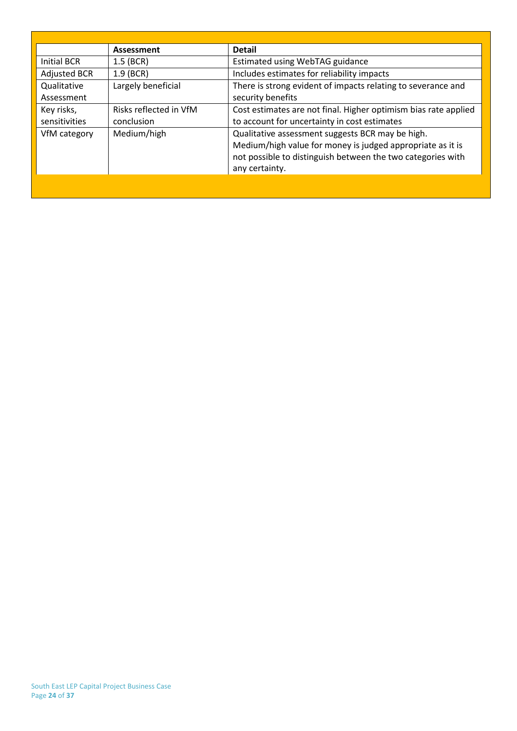|                     | Assessment             | <b>Detail</b>                                                   |
|---------------------|------------------------|-----------------------------------------------------------------|
| Initial BCR         | $1.5$ (BCR)            | Estimated using WebTAG guidance                                 |
| <b>Adjusted BCR</b> | $1.9$ (BCR)            | Includes estimates for reliability impacts                      |
| Qualitative         | Largely beneficial     | There is strong evident of impacts relating to severance and    |
| Assessment          |                        | security benefits                                               |
| Key risks,          | Risks reflected in VfM | Cost estimates are not final. Higher optimism bias rate applied |
| sensitivities       | conclusion             | to account for uncertainty in cost estimates                    |
| VfM category        | Medium/high            | Qualitative assessment suggests BCR may be high.                |
|                     |                        | Medium/high value for money is judged appropriate as it is      |
|                     |                        | not possible to distinguish between the two categories with     |
|                     |                        | any certainty.                                                  |
|                     |                        |                                                                 |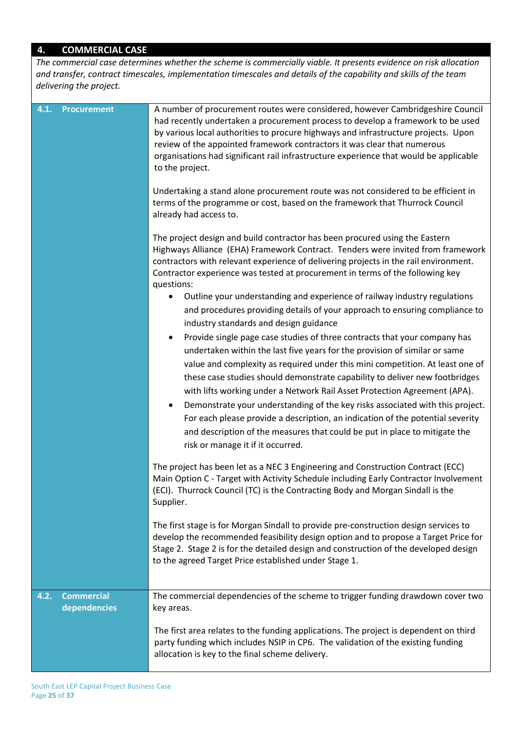# **4. COMMERCIAL CASE**

*The commercial case determines whether the scheme is commercially viable. It presents evidence on risk allocation and transfer, contract timescales, implementation timescales and details of the capability and skills of the team delivering the project.*

| 4.1.<br><b>Procurement</b>                | A number of procurement routes were considered, however Cambridgeshire Council<br>had recently undertaken a procurement process to develop a framework to be used<br>by various local authorities to procure highways and infrastructure projects. Upon<br>review of the appointed framework contractors it was clear that numerous<br>organisations had significant rail infrastructure experience that would be applicable<br>to the project.<br>Undertaking a stand alone procurement route was not considered to be efficient in<br>terms of the programme or cost, based on the framework that Thurrock Council<br>already had access to.<br>The project design and build contractor has been procured using the Eastern<br>Highways Alliance (EHA) Framework Contract. Tenders were invited from framework<br>contractors with relevant experience of delivering projects in the rail environment.<br>Contractor experience was tested at procurement in terms of the following key<br>questions:<br>Outline your understanding and experience of railway industry regulations<br>$\bullet$<br>and procedures providing details of your approach to ensuring compliance to<br>industry standards and design guidance<br>Provide single page case studies of three contracts that your company has<br>$\bullet$<br>undertaken within the last five years for the provision of similar or same<br>value and complexity as required under this mini competition. At least one of<br>these case studies should demonstrate capability to deliver new footbridges<br>with lifts working under a Network Rail Asset Protection Agreement (APA).<br>Demonstrate your understanding of the key risks associated with this project.<br>٠<br>For each please provide a description, an indication of the potential severity<br>and description of the measures that could be put in place to mitigate the<br>risk or manage it if it occurred.<br>The project has been let as a NEC 3 Engineering and Construction Contract (ECC)<br>Main Option C - Target with Activity Schedule including Early Contractor Involvement<br>(ECI). Thurrock Council (TC) is the Contracting Body and Morgan Sindall is the<br>Supplier.<br>The first stage is for Morgan Sindall to provide pre-construction design services to<br>develop the recommended feasibility design option and to propose a Target Price for<br>Stage 2. Stage 2 is for the detailed design and construction of the developed design<br>to the agreed Target Price established under Stage 1. |
|-------------------------------------------|------------------------------------------------------------------------------------------------------------------------------------------------------------------------------------------------------------------------------------------------------------------------------------------------------------------------------------------------------------------------------------------------------------------------------------------------------------------------------------------------------------------------------------------------------------------------------------------------------------------------------------------------------------------------------------------------------------------------------------------------------------------------------------------------------------------------------------------------------------------------------------------------------------------------------------------------------------------------------------------------------------------------------------------------------------------------------------------------------------------------------------------------------------------------------------------------------------------------------------------------------------------------------------------------------------------------------------------------------------------------------------------------------------------------------------------------------------------------------------------------------------------------------------------------------------------------------------------------------------------------------------------------------------------------------------------------------------------------------------------------------------------------------------------------------------------------------------------------------------------------------------------------------------------------------------------------------------------------------------------------------------------------------------------------------------------------------------------------------------------------------------------------------------------------------------------------------------------------------------------------------------------------------------------------------------------------------------------------------------------------------------------------------------------------------------------------------------------------------------------------------------------------------------------------------|
| <b>Commercial</b><br>4.2.<br>dependencies | The commercial dependencies of the scheme to trigger funding drawdown cover two<br>key areas.<br>The first area relates to the funding applications. The project is dependent on third<br>party funding which includes NSIP in CP6. The validation of the existing funding<br>allocation is key to the final scheme delivery.                                                                                                                                                                                                                                                                                                                                                                                                                                                                                                                                                                                                                                                                                                                                                                                                                                                                                                                                                                                                                                                                                                                                                                                                                                                                                                                                                                                                                                                                                                                                                                                                                                                                                                                                                                                                                                                                                                                                                                                                                                                                                                                                                                                                                        |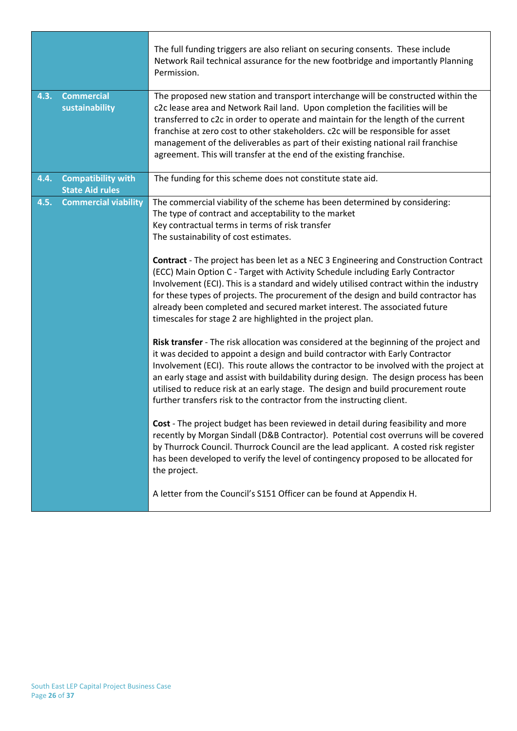|      |                                                     | The full funding triggers are also reliant on securing consents. These include<br>Network Rail technical assurance for the new footbridge and importantly Planning<br>Permission.                                                                                                                                                                                                                                                                                                                                                                                                                                                                                                                                                                                                                                                                                                                                                                                                                                                                                                                                                                                                                                                                                                                                                                                                                                                                                                                                                                                                                                                                                                                                     |
|------|-----------------------------------------------------|-----------------------------------------------------------------------------------------------------------------------------------------------------------------------------------------------------------------------------------------------------------------------------------------------------------------------------------------------------------------------------------------------------------------------------------------------------------------------------------------------------------------------------------------------------------------------------------------------------------------------------------------------------------------------------------------------------------------------------------------------------------------------------------------------------------------------------------------------------------------------------------------------------------------------------------------------------------------------------------------------------------------------------------------------------------------------------------------------------------------------------------------------------------------------------------------------------------------------------------------------------------------------------------------------------------------------------------------------------------------------------------------------------------------------------------------------------------------------------------------------------------------------------------------------------------------------------------------------------------------------------------------------------------------------------------------------------------------------|
| 4.3. | <b>Commercial</b><br>sustainability                 | The proposed new station and transport interchange will be constructed within the<br>c2c lease area and Network Rail land. Upon completion the facilities will be<br>transferred to c2c in order to operate and maintain for the length of the current<br>franchise at zero cost to other stakeholders. c2c will be responsible for asset<br>management of the deliverables as part of their existing national rail franchise<br>agreement. This will transfer at the end of the existing franchise.                                                                                                                                                                                                                                                                                                                                                                                                                                                                                                                                                                                                                                                                                                                                                                                                                                                                                                                                                                                                                                                                                                                                                                                                                  |
| 4.4. | <b>Compatibility with</b><br><b>State Aid rules</b> | The funding for this scheme does not constitute state aid.                                                                                                                                                                                                                                                                                                                                                                                                                                                                                                                                                                                                                                                                                                                                                                                                                                                                                                                                                                                                                                                                                                                                                                                                                                                                                                                                                                                                                                                                                                                                                                                                                                                            |
| 4.5. | <b>Commercial viability</b>                         | The commercial viability of the scheme has been determined by considering:<br>The type of contract and acceptability to the market<br>Key contractual terms in terms of risk transfer<br>The sustainability of cost estimates.<br>Contract - The project has been let as a NEC 3 Engineering and Construction Contract<br>(ECC) Main Option C - Target with Activity Schedule including Early Contractor<br>Involvement (ECI). This is a standard and widely utilised contract within the industry<br>for these types of projects. The procurement of the design and build contractor has<br>already been completed and secured market interest. The associated future<br>timescales for stage 2 are highlighted in the project plan.<br>Risk transfer - The risk allocation was considered at the beginning of the project and<br>it was decided to appoint a design and build contractor with Early Contractor<br>Involvement (ECI). This route allows the contractor to be involved with the project at<br>an early stage and assist with buildability during design. The design process has been<br>utilised to reduce risk at an early stage. The design and build procurement route<br>further transfers risk to the contractor from the instructing client.<br>Cost - The project budget has been reviewed in detail during feasibility and more<br>recently by Morgan Sindall (D&B Contractor). Potential cost overruns will be covered<br>by Thurrock Council. Thurrock Council are the lead applicant. A costed risk register<br>has been developed to verify the level of contingency proposed to be allocated for<br>the project.<br>A letter from the Council's S151 Officer can be found at Appendix H. |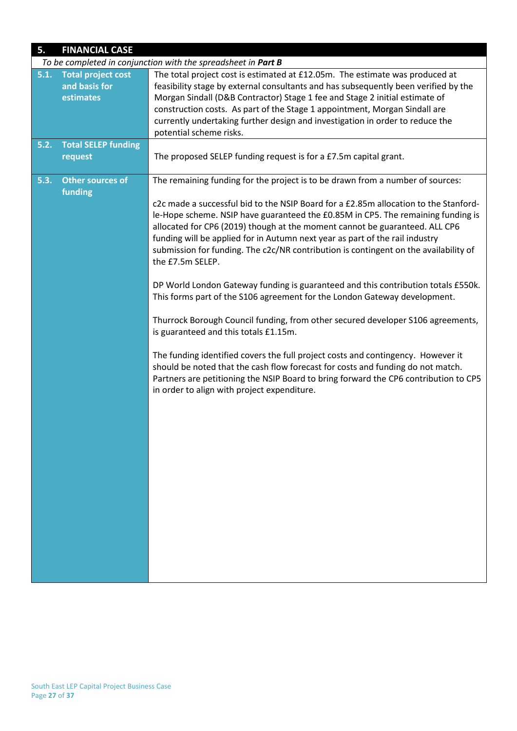| 5.   | <b>FINANCIAL CASE</b>                                   |                                                                                                                                                                                                                                                                                                                                                                                                                                                     |
|------|---------------------------------------------------------|-----------------------------------------------------------------------------------------------------------------------------------------------------------------------------------------------------------------------------------------------------------------------------------------------------------------------------------------------------------------------------------------------------------------------------------------------------|
|      |                                                         | To be completed in conjunction with the spreadsheet in Part B                                                                                                                                                                                                                                                                                                                                                                                       |
| 5.1. | <b>Total project cost</b><br>and basis for<br>estimates | The total project cost is estimated at £12.05m. The estimate was produced at<br>feasibility stage by external consultants and has subsequently been verified by the<br>Morgan Sindall (D&B Contractor) Stage 1 fee and Stage 2 initial estimate of                                                                                                                                                                                                  |
|      |                                                         | construction costs. As part of the Stage 1 appointment, Morgan Sindall are<br>currently undertaking further design and investigation in order to reduce the<br>potential scheme risks.                                                                                                                                                                                                                                                              |
| 5.2. | <b>Total SELEP funding</b><br>request                   | The proposed SELEP funding request is for a £7.5m capital grant.                                                                                                                                                                                                                                                                                                                                                                                    |
| 5.3. | <b>Other sources of</b><br>funding                      | The remaining funding for the project is to be drawn from a number of sources:                                                                                                                                                                                                                                                                                                                                                                      |
|      |                                                         | c2c made a successful bid to the NSIP Board for a £2.85m allocation to the Stanford-<br>le-Hope scheme. NSIP have guaranteed the £0.85M in CP5. The remaining funding is<br>allocated for CP6 (2019) though at the moment cannot be guaranteed. ALL CP6<br>funding will be applied for in Autumn next year as part of the rail industry<br>submission for funding. The c2c/NR contribution is contingent on the availability of<br>the £7.5m SELEP. |
|      |                                                         | DP World London Gateway funding is guaranteed and this contribution totals £550k.<br>This forms part of the S106 agreement for the London Gateway development.                                                                                                                                                                                                                                                                                      |
|      |                                                         | Thurrock Borough Council funding, from other secured developer S106 agreements,<br>is guaranteed and this totals £1.15m.                                                                                                                                                                                                                                                                                                                            |
|      |                                                         | The funding identified covers the full project costs and contingency. However it<br>should be noted that the cash flow forecast for costs and funding do not match.<br>Partners are petitioning the NSIP Board to bring forward the CP6 contribution to CP5<br>in order to align with project expenditure.                                                                                                                                          |
|      |                                                         |                                                                                                                                                                                                                                                                                                                                                                                                                                                     |
|      |                                                         |                                                                                                                                                                                                                                                                                                                                                                                                                                                     |
|      |                                                         |                                                                                                                                                                                                                                                                                                                                                                                                                                                     |
|      |                                                         |                                                                                                                                                                                                                                                                                                                                                                                                                                                     |
|      |                                                         |                                                                                                                                                                                                                                                                                                                                                                                                                                                     |
|      |                                                         |                                                                                                                                                                                                                                                                                                                                                                                                                                                     |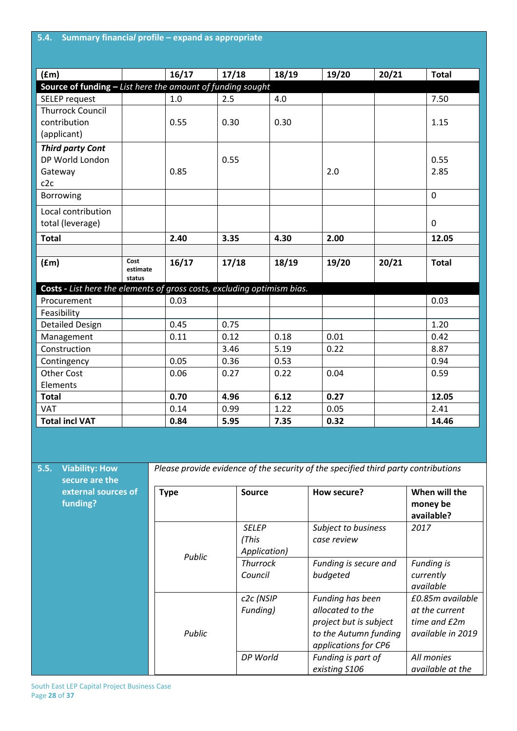| (fm)                                                                    |                  | 16/17 | 17/18        | 18/19 | 19/20 | 20/21 | <b>Total</b> |
|-------------------------------------------------------------------------|------------------|-------|--------------|-------|-------|-------|--------------|
| Source of funding - List here the amount of funding sought              |                  |       |              |       |       |       |              |
| <b>SELEP</b> request                                                    |                  | 1.0   | 2.5          | 4.0   |       |       | 7.50         |
| <b>Thurrock Council</b>                                                 |                  |       |              |       |       |       |              |
| contribution                                                            |                  | 0.55  | 0.30         | 0.30  |       |       | 1.15         |
| (applicant)                                                             |                  |       |              |       |       |       |              |
| <b>Third party Cont</b>                                                 |                  |       |              |       |       |       |              |
| DP World London                                                         |                  |       | 0.55         |       |       |       | 0.55         |
| Gateway                                                                 |                  | 0.85  |              |       | 2.0   |       | 2.85         |
| c2c                                                                     |                  |       |              |       |       |       |              |
| Borrowing                                                               |                  |       |              |       |       |       | $\mathbf 0$  |
| Local contribution                                                      |                  |       |              |       |       |       |              |
| total (leverage)                                                        |                  |       |              |       |       |       | $\mathbf 0$  |
| <b>Total</b>                                                            |                  | 2.40  | 3.35         | 4.30  | 2.00  |       | 12.05        |
|                                                                         |                  |       |              |       |       |       |              |
| (fm)                                                                    | Cost<br>estimate | 16/17 | 17/18        | 18/19 | 19/20 | 20/21 | <b>Total</b> |
| Costs - List here the elements of gross costs, excluding optimism bias. | status           |       |              |       |       |       |              |
| Procurement                                                             |                  | 0.03  |              |       |       |       | 0.03         |
| Feasibility                                                             |                  |       |              |       |       |       |              |
| <b>Detailed Design</b>                                                  |                  | 0.45  | 0.75         |       |       |       | 1.20         |
|                                                                         |                  | 0.11  | 0.12         | 0.18  | 0.01  |       | 0.42         |
| Management<br>Construction                                              |                  |       |              | 5.19  | 0.22  |       | 8.87         |
|                                                                         |                  | 0.05  | 3.46<br>0.36 | 0.53  |       |       |              |
| Contingency<br><b>Other Cost</b>                                        |                  |       |              |       |       |       | 0.94         |
| Elements                                                                |                  | 0.06  | 0.27         | 0.22  | 0.04  |       | 0.59         |
| <b>Total</b>                                                            |                  | 0.70  | 4.96         | 6.12  | 0.27  |       | 12.05        |
| <b>VAT</b>                                                              |                  | 0.14  | 0.99         | 1.22  | 0.05  |       | 2.41         |
|                                                                         |                  |       |              |       |       |       | 14.46        |
| <b>Total incl VAT</b>                                                   |                  | 0.84  | 5.95         | 7.35  | 0.32  |       |              |

**5.5. Viability: How secure are the** 

*Please provide evidence of the security of the specified third party contributions*

| external sources of<br>funding? | <b>Type</b> | Source                                | How secure?                                                                                                     | When will the<br>money be<br>available?                                 |
|---------------------------------|-------------|---------------------------------------|-----------------------------------------------------------------------------------------------------------------|-------------------------------------------------------------------------|
|                                 | Public      | <b>SELEP</b><br>(This<br>Application) | Subject to business<br>case review                                                                              | 2017                                                                    |
|                                 |             | <b>Thurrock</b><br>Council            | Funding is secure and<br>budgeted                                                                               | Funding is<br>currently<br>available                                    |
|                                 | Public      | c <sub>2c</sub> (NSIP<br>Funding)     | Funding has been<br>allocated to the<br>project but is subject<br>to the Autumn funding<br>applications for CP6 | £0.85m available<br>at the current<br>time and £2m<br>available in 2019 |
|                                 |             | DP World                              | Funding is part of<br>existing S106                                                                             | All monies<br>available at the                                          |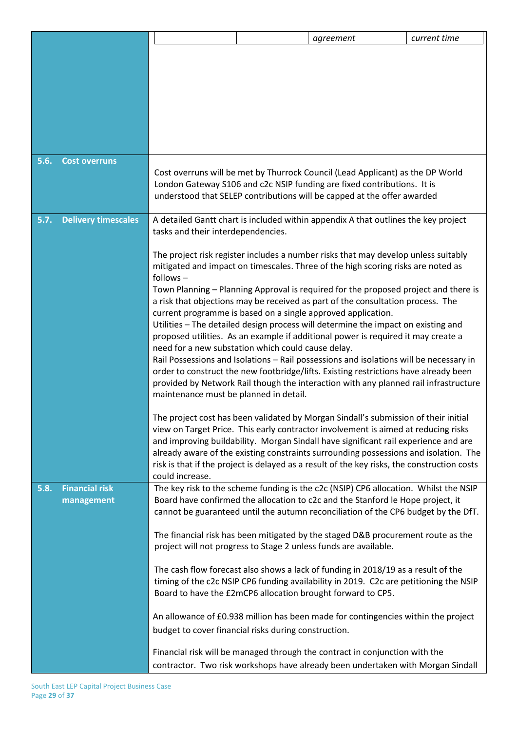|      |                                     |                                                                                                                          |  | agreement                                                                                                                                                                                                                                                                                                                                                                                                                                               | current time |  |  |
|------|-------------------------------------|--------------------------------------------------------------------------------------------------------------------------|--|---------------------------------------------------------------------------------------------------------------------------------------------------------------------------------------------------------------------------------------------------------------------------------------------------------------------------------------------------------------------------------------------------------------------------------------------------------|--------------|--|--|
|      |                                     |                                                                                                                          |  |                                                                                                                                                                                                                                                                                                                                                                                                                                                         |              |  |  |
|      |                                     |                                                                                                                          |  |                                                                                                                                                                                                                                                                                                                                                                                                                                                         |              |  |  |
|      |                                     |                                                                                                                          |  |                                                                                                                                                                                                                                                                                                                                                                                                                                                         |              |  |  |
|      |                                     |                                                                                                                          |  |                                                                                                                                                                                                                                                                                                                                                                                                                                                         |              |  |  |
| 5.6. | <b>Cost overruns</b>                |                                                                                                                          |  | Cost overruns will be met by Thurrock Council (Lead Applicant) as the DP World<br>London Gateway S106 and c2c NSIP funding are fixed contributions. It is<br>understood that SELEP contributions will be capped at the offer awarded                                                                                                                                                                                                                    |              |  |  |
| 5.7. | <b>Delivery timescales</b>          | A detailed Gantt chart is included within appendix A that outlines the key project<br>tasks and their interdependencies. |  |                                                                                                                                                                                                                                                                                                                                                                                                                                                         |              |  |  |
|      |                                     | follows-                                                                                                                 |  | The project risk register includes a number risks that may develop unless suitably<br>mitigated and impact on timescales. Three of the high scoring risks are noted as<br>Town Planning - Planning Approval is required for the proposed project and there is<br>a risk that objections may be received as part of the consultation process. The<br>current programme is based on a single approved application.                                        |              |  |  |
|      |                                     | need for a new substation which could cause delay.<br>maintenance must be planned in detail.                             |  | Utilities - The detailed design process will determine the impact on existing and<br>proposed utilities. As an example if additional power is required it may create a<br>Rail Possessions and Isolations - Rail possessions and isolations will be necessary in<br>order to construct the new footbridge/lifts. Existing restrictions have already been<br>provided by Network Rail though the interaction with any planned rail infrastructure        |              |  |  |
|      |                                     | could increase.                                                                                                          |  | The project cost has been validated by Morgan Sindall's submission of their initial<br>view on Target Price. This early contractor involvement is aimed at reducing risks<br>and improving buildability. Morgan Sindall have significant rail experience and are<br>already aware of the existing constraints surrounding possessions and isolation. The<br>risk is that if the project is delayed as a result of the key risks, the construction costs |              |  |  |
| 5.8. | <b>Financial risk</b><br>management |                                                                                                                          |  | The key risk to the scheme funding is the c2c (NSIP) CP6 allocation. Whilst the NSIP<br>Board have confirmed the allocation to c2c and the Stanford le Hope project, it<br>cannot be guaranteed until the autumn reconciliation of the CP6 budget by the DfT.                                                                                                                                                                                           |              |  |  |
|      |                                     |                                                                                                                          |  | The financial risk has been mitigated by the staged D&B procurement route as the<br>project will not progress to Stage 2 unless funds are available.                                                                                                                                                                                                                                                                                                    |              |  |  |
|      |                                     |                                                                                                                          |  | The cash flow forecast also shows a lack of funding in 2018/19 as a result of the<br>timing of the c2c NSIP CP6 funding availability in 2019. C2c are petitioning the NSIP<br>Board to have the £2mCP6 allocation brought forward to CP5.                                                                                                                                                                                                               |              |  |  |
|      |                                     | budget to cover financial risks during construction.                                                                     |  | An allowance of £0.938 million has been made for contingencies within the project                                                                                                                                                                                                                                                                                                                                                                       |              |  |  |
|      |                                     |                                                                                                                          |  | Financial risk will be managed through the contract in conjunction with the<br>contractor. Two risk workshops have already been undertaken with Morgan Sindall                                                                                                                                                                                                                                                                                          |              |  |  |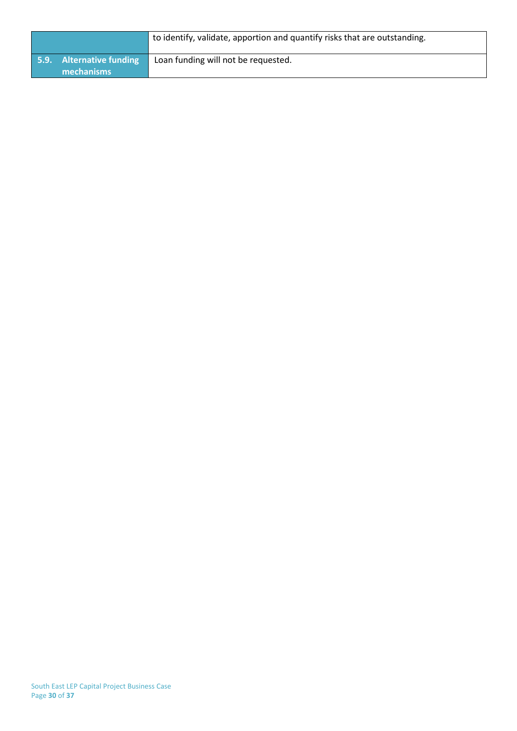|                                        | to identify, validate, apportion and quantify risks that are outstanding. |
|----------------------------------------|---------------------------------------------------------------------------|
| 5.9. Alternative funding<br>mechanisms | Loan funding will not be requested.                                       |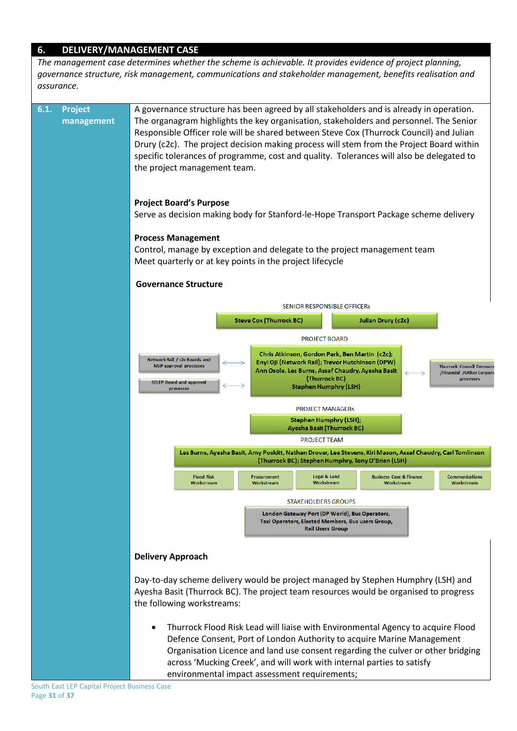# **6. DELIVERY/MANAGEMENT CASE**

*The management case determines whether the scheme is achievable. It provides evidence of project planning, governance structure, risk management, communications and stakeholder management, benefits realisation and assurance.*

| 6.1. | <b>Project</b><br>management |                             | the project management team.                                                                                    |                                |                                                                                                                                                                                                          | A governance structure has been agreed by all stakeholders and is already in operation.<br>The organagram highlights the key organisation, stakeholders and personnel. The Senior<br>Responsible Officer role will be shared between Steve Cox (Thurrock Council) and Julian<br>Drury (c2c). The project decision making process will stem from the Project Board within<br>specific tolerances of programme, cost and quality. Tolerances will also be delegated to |                                                                           |
|------|------------------------------|-----------------------------|-----------------------------------------------------------------------------------------------------------------|--------------------------------|----------------------------------------------------------------------------------------------------------------------------------------------------------------------------------------------------------|----------------------------------------------------------------------------------------------------------------------------------------------------------------------------------------------------------------------------------------------------------------------------------------------------------------------------------------------------------------------------------------------------------------------------------------------------------------------|---------------------------------------------------------------------------|
|      |                              |                             | <b>Project Board's Purpose</b>                                                                                  |                                |                                                                                                                                                                                                          | Serve as decision making body for Stanford-le-Hope Transport Package scheme delivery                                                                                                                                                                                                                                                                                                                                                                                 |                                                                           |
|      |                              |                             | <b>Process Management</b><br>Meet quarterly or at key points in the project lifecycle                           |                                |                                                                                                                                                                                                          | Control, manage by exception and delegate to the project management team                                                                                                                                                                                                                                                                                                                                                                                             |                                                                           |
|      |                              | <b>Governance Structure</b> |                                                                                                                 |                                |                                                                                                                                                                                                          |                                                                                                                                                                                                                                                                                                                                                                                                                                                                      |                                                                           |
|      |                              |                             |                                                                                                                 |                                | <b>SENIOR RESPONSIBLE OFFICERS</b>                                                                                                                                                                       |                                                                                                                                                                                                                                                                                                                                                                                                                                                                      |                                                                           |
|      |                              |                             |                                                                                                                 | <b>Steve Cox (Thurrock BC)</b> |                                                                                                                                                                                                          | Julian Drury (c2c)                                                                                                                                                                                                                                                                                                                                                                                                                                                   |                                                                           |
|      |                              |                             |                                                                                                                 |                                | <b>PROJECT BOARD</b>                                                                                                                                                                                     |                                                                                                                                                                                                                                                                                                                                                                                                                                                                      |                                                                           |
|      |                              |                             | Network Rail / c2c Boards and<br><b>NSIP approval processes</b><br><b>SELEP Board and approval</b><br>processes |                                | Chris Atkinson, Gordon Park, Ben Martin (c2c);<br>Enyi Oji (Network Rail); Trevor Hutchinson (DPW)<br>Ann Osola, Les Burns, Assaf Chaudry, Ayesha Basit<br>(Thurrock BC)<br><b>Stephen Humphry (LSH)</b> |                                                                                                                                                                                                                                                                                                                                                                                                                                                                      | <b>Thurrock Council Democra</b><br>/Financial /Other Corpora<br>processes |
|      |                              |                             |                                                                                                                 |                                | <b>PROJECT MANAGERS</b>                                                                                                                                                                                  |                                                                                                                                                                                                                                                                                                                                                                                                                                                                      |                                                                           |
|      |                              |                             |                                                                                                                 |                                | Stephen Humphry (LSH);<br>Ayesha Basit (Thurrock BC)                                                                                                                                                     |                                                                                                                                                                                                                                                                                                                                                                                                                                                                      |                                                                           |
|      |                              |                             |                                                                                                                 |                                | <b>PROJECT TEAM</b>                                                                                                                                                                                      |                                                                                                                                                                                                                                                                                                                                                                                                                                                                      |                                                                           |
|      |                              |                             |                                                                                                                 |                                | (Thurrock BC); Stephen Humphry, Tony O'Brien (LSH)                                                                                                                                                       | Les Burns, Ayesha Basit, Amy Poskitt, Nathan Drover, Lee Stevens, Kiri Mason, Assaf Chaudry, Carl Tomlinson                                                                                                                                                                                                                                                                                                                                                          |                                                                           |
|      |                              |                             | <b>Flood Risk</b><br>Workstream                                                                                 | Procurement<br>Workstream      | Legal & Land<br>Workstream                                                                                                                                                                               | <b>Business Case &amp; Finance</b><br>Workstream                                                                                                                                                                                                                                                                                                                                                                                                                     | <b>Communications</b><br>Workstream                                       |
|      |                              |                             |                                                                                                                 |                                | <b>STAKEHOLDERS GROUPS</b>                                                                                                                                                                               |                                                                                                                                                                                                                                                                                                                                                                                                                                                                      |                                                                           |
|      |                              |                             |                                                                                                                 |                                | London Gateway Port (DP World), Bus Operators,<br>Taxi Operators, Elected Members, Bus users Group,<br><b>Rail Users Group</b>                                                                           |                                                                                                                                                                                                                                                                                                                                                                                                                                                                      |                                                                           |
|      |                              | <b>Delivery Approach</b>    |                                                                                                                 |                                |                                                                                                                                                                                                          |                                                                                                                                                                                                                                                                                                                                                                                                                                                                      |                                                                           |
|      |                              |                             | the following workstreams:                                                                                      |                                |                                                                                                                                                                                                          | Day-to-day scheme delivery would be project managed by Stephen Humphry (LSH) and<br>Ayesha Basit (Thurrock BC). The project team resources would be organised to progress                                                                                                                                                                                                                                                                                            |                                                                           |
|      |                              |                             | environmental impact assessment requirements;                                                                   |                                |                                                                                                                                                                                                          | Thurrock Flood Risk Lead will liaise with Environmental Agency to acquire Flood<br>Defence Consent, Port of London Authority to acquire Marine Management<br>Organisation Licence and land use consent regarding the culver or other bridging<br>across 'Mucking Creek', and will work with internal parties to satisfy                                                                                                                                              |                                                                           |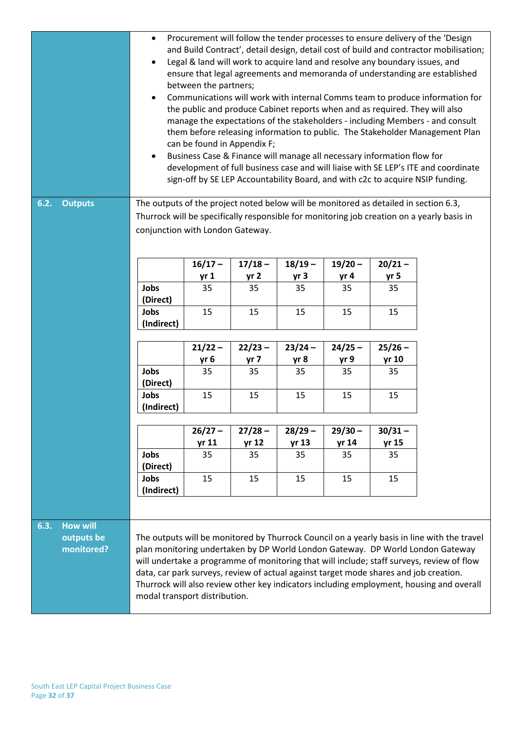|      |                                             | $\bullet$<br>$\bullet$                                                                                                   | between the partners; | can be found in Appendix F; |             | Legal & land will work to acquire land and resolve any boundary issues, and<br>Business Case & Finance will manage all necessary information flow for |             | Procurement will follow the tender processes to ensure delivery of the 'Design<br>and Build Contract', detail design, detail cost of build and contractor mobilisation;<br>ensure that legal agreements and memoranda of understanding are established<br>Communications will work with internal Comms team to produce information for<br>the public and produce Cabinet reports when and as required. They will also<br>manage the expectations of the stakeholders - including Members - and consult<br>them before releasing information to public. The Stakeholder Management Plan<br>development of full business case and will liaise with SE LEP's ITE and coordinate<br>sign-off by SE LEP Accountability Board, and with c2c to acquire NSIP funding. |
|------|---------------------------------------------|--------------------------------------------------------------------------------------------------------------------------|-----------------------|-----------------------------|-------------|-------------------------------------------------------------------------------------------------------------------------------------------------------|-------------|----------------------------------------------------------------------------------------------------------------------------------------------------------------------------------------------------------------------------------------------------------------------------------------------------------------------------------------------------------------------------------------------------------------------------------------------------------------------------------------------------------------------------------------------------------------------------------------------------------------------------------------------------------------------------------------------------------------------------------------------------------------|
| 6.2. | <b>Outputs</b>                              | The outputs of the project noted below will be monitored as detailed in section 6.3,<br>conjunction with London Gateway. |                       |                             |             |                                                                                                                                                       |             | Thurrock will be specifically responsible for monitoring job creation on a yearly basis in                                                                                                                                                                                                                                                                                                                                                                                                                                                                                                                                                                                                                                                                     |
|      |                                             |                                                                                                                          | $16/17 -$             | $17/18 -$                   | $18/19 -$   | $19/20 -$                                                                                                                                             | $20/21 -$   |                                                                                                                                                                                                                                                                                                                                                                                                                                                                                                                                                                                                                                                                                                                                                                |
|      |                                             | Jobs                                                                                                                     | yr 1<br>35            | yr 2<br>35                  | yr 3<br>35  | yr 4<br>35                                                                                                                                            | yr 5<br>35  |                                                                                                                                                                                                                                                                                                                                                                                                                                                                                                                                                                                                                                                                                                                                                                |
|      |                                             | (Direct)                                                                                                                 |                       |                             |             |                                                                                                                                                       |             |                                                                                                                                                                                                                                                                                                                                                                                                                                                                                                                                                                                                                                                                                                                                                                |
|      |                                             | Jobs<br>(Indirect)                                                                                                       | 15                    | 15                          | 15          | 15                                                                                                                                                    | 15          |                                                                                                                                                                                                                                                                                                                                                                                                                                                                                                                                                                                                                                                                                                                                                                |
|      |                                             |                                                                                                                          | $21/22 -$             | $22/23 -$                   | $23/24 -$   | $24/25 -$                                                                                                                                             | $25/26 -$   |                                                                                                                                                                                                                                                                                                                                                                                                                                                                                                                                                                                                                                                                                                                                                                |
|      |                                             |                                                                                                                          | yr 6                  | yr 7                        | yr 8        | yr 9                                                                                                                                                  | yr 10       |                                                                                                                                                                                                                                                                                                                                                                                                                                                                                                                                                                                                                                                                                                                                                                |
|      |                                             | Jobs<br>(Direct)                                                                                                         | 35                    | 35                          | 35          | 35                                                                                                                                                    | 35          |                                                                                                                                                                                                                                                                                                                                                                                                                                                                                                                                                                                                                                                                                                                                                                |
|      |                                             | Jobs<br>(Indirect)                                                                                                       | 15                    | 15                          | 15          | 15                                                                                                                                                    | 15          |                                                                                                                                                                                                                                                                                                                                                                                                                                                                                                                                                                                                                                                                                                                                                                |
|      |                                             |                                                                                                                          |                       |                             |             |                                                                                                                                                       |             |                                                                                                                                                                                                                                                                                                                                                                                                                                                                                                                                                                                                                                                                                                                                                                |
|      |                                             |                                                                                                                          | $26/27 -$<br>yr 11    | $27/28 -$                   | $28/29 -$   | $29/30 -$                                                                                                                                             | $30/31 -$   |                                                                                                                                                                                                                                                                                                                                                                                                                                                                                                                                                                                                                                                                                                                                                                |
|      |                                             | Jobs                                                                                                                     | 35                    | yr 12<br>35                 | yr 13<br>35 | yr 14<br>35                                                                                                                                           | yr 15<br>35 |                                                                                                                                                                                                                                                                                                                                                                                                                                                                                                                                                                                                                                                                                                                                                                |
|      |                                             | (Direct)                                                                                                                 |                       |                             |             |                                                                                                                                                       |             |                                                                                                                                                                                                                                                                                                                                                                                                                                                                                                                                                                                                                                                                                                                                                                |
|      |                                             | Jobs                                                                                                                     | 15                    | 15                          | 15          | 15                                                                                                                                                    | 15          |                                                                                                                                                                                                                                                                                                                                                                                                                                                                                                                                                                                                                                                                                                                                                                |
|      |                                             | (Indirect)                                                                                                               |                       |                             |             |                                                                                                                                                       |             |                                                                                                                                                                                                                                                                                                                                                                                                                                                                                                                                                                                                                                                                                                                                                                |
|      |                                             |                                                                                                                          |                       |                             |             |                                                                                                                                                       |             |                                                                                                                                                                                                                                                                                                                                                                                                                                                                                                                                                                                                                                                                                                                                                                |
| 6.3. | <b>How will</b><br>outputs be<br>monitored? | data, car park surveys, review of actual against target mode shares and job creation.<br>modal transport distribution.   |                       |                             |             |                                                                                                                                                       |             | The outputs will be monitored by Thurrock Council on a yearly basis in line with the travel<br>plan monitoring undertaken by DP World London Gateway. DP World London Gateway<br>will undertake a programme of monitoring that will include; staff surveys, review of flow<br>Thurrock will also review other key indicators including employment, housing and overall                                                                                                                                                                                                                                                                                                                                                                                         |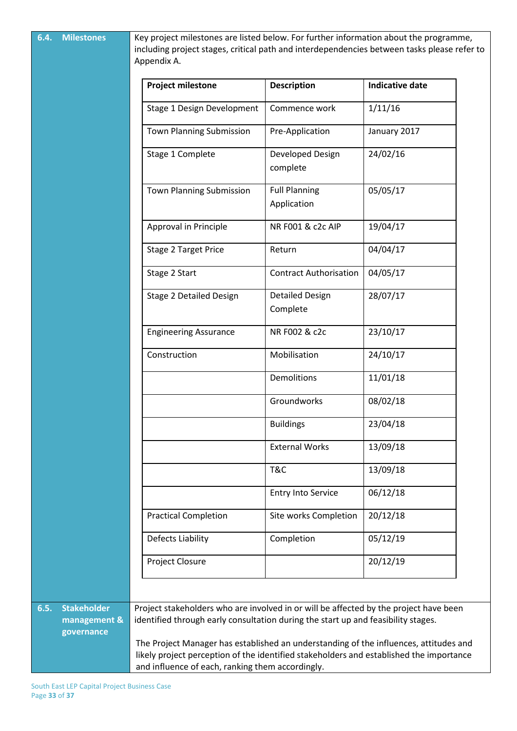|                                                          |                                                                                                                                                                            | <b>Description</b>                  | <b>Indicative date</b> |
|----------------------------------------------------------|----------------------------------------------------------------------------------------------------------------------------------------------------------------------------|-------------------------------------|------------------------|
|                                                          | <b>Project milestone</b>                                                                                                                                                   |                                     |                        |
|                                                          | Stage 1 Design Development                                                                                                                                                 | Commence work                       | 1/11/16                |
|                                                          | <b>Town Planning Submission</b>                                                                                                                                            | Pre-Application                     | January 2017           |
|                                                          | Stage 1 Complete                                                                                                                                                           | Developed Design<br>complete        | 24/02/16               |
|                                                          | <b>Town Planning Submission</b>                                                                                                                                            | <b>Full Planning</b><br>Application | 05/05/17               |
|                                                          | Approval in Principle                                                                                                                                                      | NR F001 & c2c AIP                   | 19/04/17               |
|                                                          | <b>Stage 2 Target Price</b>                                                                                                                                                | Return                              | 04/04/17               |
|                                                          | Stage 2 Start                                                                                                                                                              | <b>Contract Authorisation</b>       | 04/05/17               |
|                                                          | Stage 2 Detailed Design                                                                                                                                                    | Detailed Design<br>Complete         | 28/07/17               |
|                                                          | <b>Engineering Assurance</b>                                                                                                                                               | NR F002 & c2c                       | 23/10/17               |
|                                                          | Construction                                                                                                                                                               | Mobilisation                        | 24/10/17               |
|                                                          |                                                                                                                                                                            | Demolitions                         | 11/01/18               |
|                                                          |                                                                                                                                                                            | Groundworks                         | 08/02/18               |
|                                                          |                                                                                                                                                                            | <b>Buildings</b>                    | 23/04/18               |
|                                                          |                                                                                                                                                                            | <b>External Works</b>               | 13/09/18               |
|                                                          |                                                                                                                                                                            | T&C                                 | 13/09/18               |
|                                                          |                                                                                                                                                                            | <b>Entry Into Service</b>           | 06/12/18               |
|                                                          | <b>Practical Completion</b>                                                                                                                                                | Site works Completion               | 20/12/18               |
|                                                          | Defects Liability                                                                                                                                                          | Completion                          | 05/12/19               |
|                                                          | Project Closure                                                                                                                                                            |                                     | 20/12/19               |
|                                                          |                                                                                                                                                                            |                                     |                        |
| <b>Stakeholder</b><br>6.5.<br>management &<br>governance | Project stakeholders who are involved in or will be affected by the project have been<br>identified through early consultation during the start up and feasibility stages. |                                     |                        |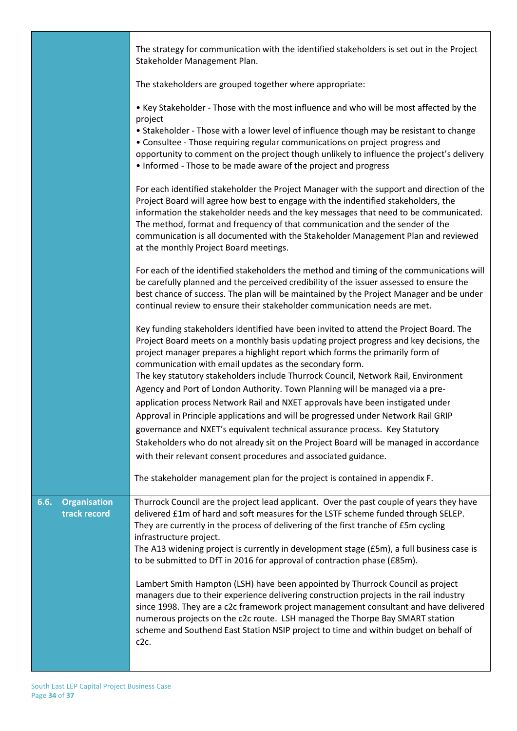|                                             | The strategy for communication with the identified stakeholders is set out in the Project<br>Stakeholder Management Plan.                                                                                                                                                                                                                                                                                                                                                                                                                                                                                                                                                                                                                                                                                                                                                                                                                                                                              |
|---------------------------------------------|--------------------------------------------------------------------------------------------------------------------------------------------------------------------------------------------------------------------------------------------------------------------------------------------------------------------------------------------------------------------------------------------------------------------------------------------------------------------------------------------------------------------------------------------------------------------------------------------------------------------------------------------------------------------------------------------------------------------------------------------------------------------------------------------------------------------------------------------------------------------------------------------------------------------------------------------------------------------------------------------------------|
|                                             | The stakeholders are grouped together where appropriate:                                                                                                                                                                                                                                                                                                                                                                                                                                                                                                                                                                                                                                                                                                                                                                                                                                                                                                                                               |
|                                             | . Key Stakeholder - Those with the most influence and who will be most affected by the<br>project<br>• Stakeholder - Those with a lower level of influence though may be resistant to change<br>• Consultee - Those requiring regular communications on project progress and<br>opportunity to comment on the project though unlikely to influence the project's delivery<br>• Informed - Those to be made aware of the project and progress                                                                                                                                                                                                                                                                                                                                                                                                                                                                                                                                                           |
|                                             | For each identified stakeholder the Project Manager with the support and direction of the<br>Project Board will agree how best to engage with the indentified stakeholders, the<br>information the stakeholder needs and the key messages that need to be communicated.<br>The method, format and frequency of that communication and the sender of the<br>communication is all documented with the Stakeholder Management Plan and reviewed<br>at the monthly Project Board meetings.                                                                                                                                                                                                                                                                                                                                                                                                                                                                                                                 |
|                                             | For each of the identified stakeholders the method and timing of the communications will<br>be carefully planned and the perceived credibility of the issuer assessed to ensure the<br>best chance of success. The plan will be maintained by the Project Manager and be under<br>continual review to ensure their stakeholder communication needs are met.                                                                                                                                                                                                                                                                                                                                                                                                                                                                                                                                                                                                                                            |
|                                             | Key funding stakeholders identified have been invited to attend the Project Board. The<br>Project Board meets on a monthly basis updating project progress and key decisions, the<br>project manager prepares a highlight report which forms the primarily form of<br>communication with email updates as the secondary form.<br>The key statutory stakeholders include Thurrock Council, Network Rail, Environment<br>Agency and Port of London Authority. Town Planning will be managed via a pre-<br>application process Network Rail and NXET approvals have been instigated under<br>Approval in Principle applications and will be progressed under Network Rail GRIP<br>governance and NXET's equivalent technical assurance process. Key Statutory<br>Stakeholders who do not already sit on the Project Board will be managed in accordance<br>with their relevant consent procedures and associated guidance.<br>The stakeholder management plan for the project is contained in appendix F. |
| <b>Organisation</b><br>6.6.<br>track record | Thurrock Council are the project lead applicant. Over the past couple of years they have<br>delivered £1m of hard and soft measures for the LSTF scheme funded through SELEP.<br>They are currently in the process of delivering of the first tranche of £5m cycling<br>infrastructure project.<br>The A13 widening project is currently in development stage (£5m), a full business case is<br>to be submitted to DfT in 2016 for approval of contraction phase (£85m).<br>Lambert Smith Hampton (LSH) have been appointed by Thurrock Council as project<br>managers due to their experience delivering construction projects in the rail industry<br>since 1998. They are a c2c framework project management consultant and have delivered<br>numerous projects on the c2c route. LSH managed the Thorpe Bay SMART station<br>scheme and Southend East Station NSIP project to time and within budget on behalf of<br>c <sub>2c</sub> .                                                             |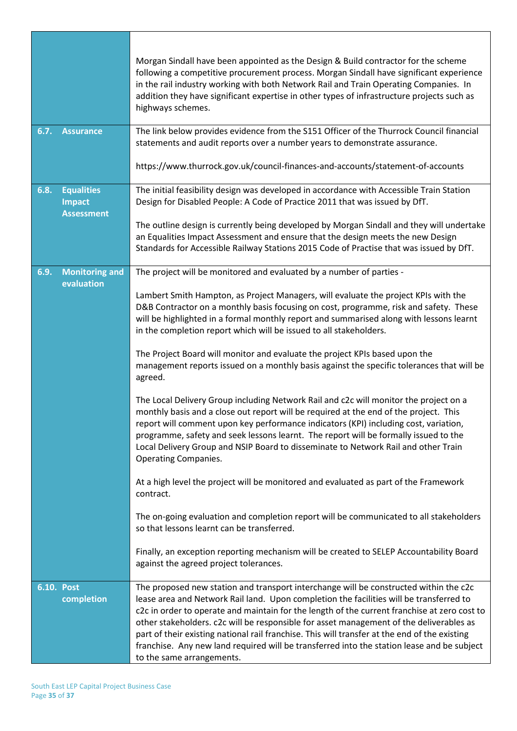| 6.7. | <b>Assurance</b>                                        | Morgan Sindall have been appointed as the Design & Build contractor for the scheme<br>following a competitive procurement process. Morgan Sindall have significant experience<br>in the rail industry working with both Network Rail and Train Operating Companies. In<br>addition they have significant expertise in other types of infrastructure projects such as<br>highways schemes.<br>The link below provides evidence from the S151 Officer of the Thurrock Council financial                                                                                                                   |
|------|---------------------------------------------------------|---------------------------------------------------------------------------------------------------------------------------------------------------------------------------------------------------------------------------------------------------------------------------------------------------------------------------------------------------------------------------------------------------------------------------------------------------------------------------------------------------------------------------------------------------------------------------------------------------------|
|      |                                                         | statements and audit reports over a number years to demonstrate assurance.<br>https://www.thurrock.gov.uk/council-finances-and-accounts/statement-of-accounts                                                                                                                                                                                                                                                                                                                                                                                                                                           |
| 6.8. | <b>Equalities</b><br><b>Impact</b><br><b>Assessment</b> | The initial feasibility design was developed in accordance with Accessible Train Station<br>Design for Disabled People: A Code of Practice 2011 that was issued by DfT.<br>The outline design is currently being developed by Morgan Sindall and they will undertake                                                                                                                                                                                                                                                                                                                                    |
|      |                                                         | an Equalities Impact Assessment and ensure that the design meets the new Design<br>Standards for Accessible Railway Stations 2015 Code of Practise that was issued by DfT.                                                                                                                                                                                                                                                                                                                                                                                                                              |
| 6.9. | <b>Monitoring and</b><br>evaluation                     | The project will be monitored and evaluated by a number of parties -                                                                                                                                                                                                                                                                                                                                                                                                                                                                                                                                    |
|      |                                                         | Lambert Smith Hampton, as Project Managers, will evaluate the project KPIs with the<br>D&B Contractor on a monthly basis focusing on cost, programme, risk and safety. These<br>will be highlighted in a formal monthly report and summarised along with lessons learnt<br>in the completion report which will be issued to all stakeholders.                                                                                                                                                                                                                                                           |
|      |                                                         | The Project Board will monitor and evaluate the project KPIs based upon the<br>management reports issued on a monthly basis against the specific tolerances that will be<br>agreed.                                                                                                                                                                                                                                                                                                                                                                                                                     |
|      |                                                         | The Local Delivery Group including Network Rail and c2c will monitor the project on a<br>monthly basis and a close out report will be required at the end of the project. This<br>report will comment upon key performance indicators (KPI) including cost, variation,<br>programme, safety and seek lessons learnt. The report will be formally issued to the<br>Local Delivery Group and NSIP Board to disseminate to Network Rail and other Train<br><b>Operating Companies.</b>                                                                                                                     |
|      |                                                         | At a high level the project will be monitored and evaluated as part of the Framework<br>contract.                                                                                                                                                                                                                                                                                                                                                                                                                                                                                                       |
|      |                                                         | The on-going evaluation and completion report will be communicated to all stakeholders<br>so that lessons learnt can be transferred.                                                                                                                                                                                                                                                                                                                                                                                                                                                                    |
|      |                                                         | Finally, an exception reporting mechanism will be created to SELEP Accountability Board<br>against the agreed project tolerances.                                                                                                                                                                                                                                                                                                                                                                                                                                                                       |
|      | <b>6.10. Post</b><br>completion                         | The proposed new station and transport interchange will be constructed within the c2c<br>lease area and Network Rail land. Upon completion the facilities will be transferred to<br>c2c in order to operate and maintain for the length of the current franchise at zero cost to<br>other stakeholders. c2c will be responsible for asset management of the deliverables as<br>part of their existing national rail franchise. This will transfer at the end of the existing<br>franchise. Any new land required will be transferred into the station lease and be subject<br>to the same arrangements. |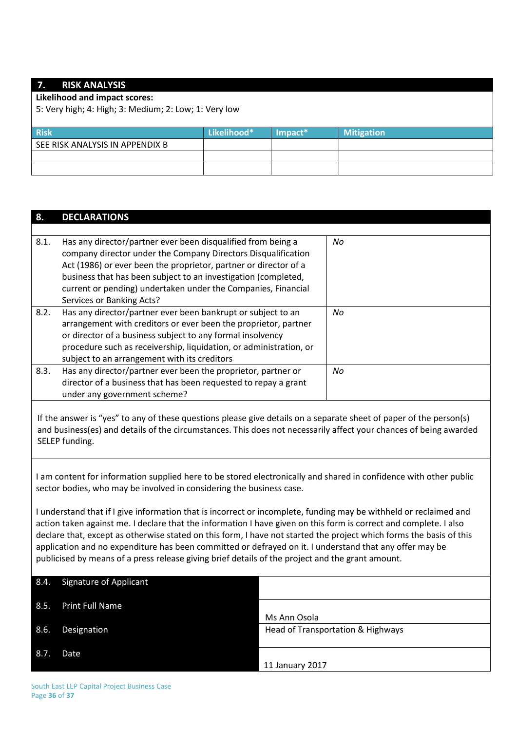# **7. RISK ANALYSIS**

**Likelihood and impact scores:**

5: Very high; 4: High; 3: Medium; 2: Low; 1: Very low

| <b>Risk</b>                     | Likelihood* | Impact* | <b>Mitigation</b> |
|---------------------------------|-------------|---------|-------------------|
| SEE RISK ANALYSIS IN APPENDIX B |             |         |                   |
|                                 |             |         |                   |
|                                 |             |         |                   |

| 8.   | <b>DECLARATIONS</b>                                                                                                                                                                                                                                                                                                                                               |    |
|------|-------------------------------------------------------------------------------------------------------------------------------------------------------------------------------------------------------------------------------------------------------------------------------------------------------------------------------------------------------------------|----|
|      |                                                                                                                                                                                                                                                                                                                                                                   |    |
| 8.1. | Has any director/partner ever been disqualified from being a<br>company director under the Company Directors Disqualification<br>Act (1986) or ever been the proprietor, partner or director of a<br>business that has been subject to an investigation (completed,<br>current or pending) undertaken under the Companies, Financial<br>Services or Banking Acts? | No |
| 8.2. | Has any director/partner ever been bankrupt or subject to an<br>arrangement with creditors or ever been the proprietor, partner<br>or director of a business subject to any formal insolvency<br>procedure such as receivership, liquidation, or administration, or<br>subject to an arrangement with its creditors                                               | No |
| 8.3. | Has any director/partner ever been the proprietor, partner or<br>director of a business that has been requested to repay a grant<br>under any government scheme?                                                                                                                                                                                                  | No |
|      |                                                                                                                                                                                                                                                                                                                                                                   |    |

If the answer is "yes" to any of these questions please give details on a separate sheet of paper of the person(s) and business(es) and details of the circumstances. This does not necessarily affect your chances of being awarded SELEP funding.

I am content for information supplied here to be stored electronically and shared in confidence with other public sector bodies, who may be involved in considering the business case.

I understand that if I give information that is incorrect or incomplete, funding may be withheld or reclaimed and action taken against me. I declare that the information I have given on this form is correct and complete. I also declare that, except as otherwise stated on this form, I have not started the project which forms the basis of this application and no expenditure has been committed or defrayed on it. I understand that any offer may be publicised by means of a press release giving brief details of the project and the grant amount.

| 8.4. | Signature of Applicant |                                                   |
|------|------------------------|---------------------------------------------------|
| 8.5. | <b>Print Full Name</b> |                                                   |
| 8.6. | Designation            | Ms Ann Osola<br>Head of Transportation & Highways |
| 8.7. | Date                   | 11 January 2017                                   |